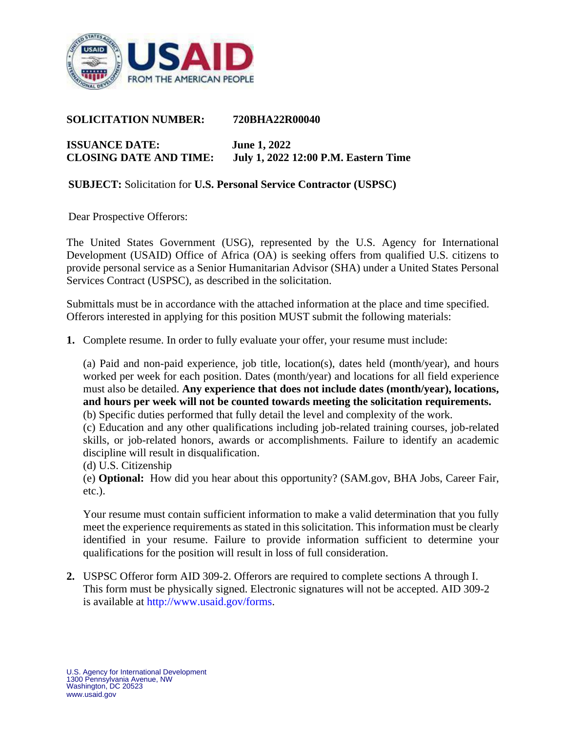

#### **SOLICITATION NUMBER: 720BHA22R00040**

**ISSUANCE DATE: June 1, 2022 CLOSING DATE AND TIME: July 1, 2022 12:00 P.M. Eastern Time** 

### **SUBJECT:** Solicitation for **U.S. Personal Service Contractor (USPSC)**

Dear Prospective Offerors:

The United States Government (USG), represented by the U.S. Agency for International Development (USAID) Office of Africa (OA) is seeking offers from qualified U.S. citizens to provide personal service as a Senior Humanitarian Advisor (SHA) under a United States Personal Services Contract (USPSC), as described in the solicitation.

Submittals must be in accordance with the attached information at the place and time specified. Offerors interested in applying for this position MUST submit the following materials:

**1.** Complete resume. In order to fully evaluate your offer, your resume must include:

(a) Paid and non-paid experience, job title, location(s), dates held (month/year), and hours worked per week for each position. Dates (month/year) and locations for all field experience must also be detailed. **Any experience that does not include dates (month/year), locations, and hours per week will not be counted towards meeting the solicitation requirements.** (b) Specific duties performed that fully detail the level and complexity of the work.

(c) Education and any other qualifications including job-related training courses, job-related skills, or job-related honors, awards or accomplishments. Failure to identify an academic discipline will result in disqualification.

(d) U.S. Citizenship

(e) **Optional:** How did you hear about this opportunity? (SAM.gov, BHA Jobs, Career Fair, etc.).

Your resume must contain sufficient information to make a valid determination that you fully meet the experience requirements as stated in this solicitation. This information must be clearly identified in your resume. Failure to provide information sufficient to determine your qualifications for the position will result in loss of full consideration.

**2.** USPSC Offeror form AID 309-2. Offerors are required to complete sections A through I. This form must be physically signed. Electronic signatures will not be accepted. AID 309-2 is available at http://www.usaid.gov/forms.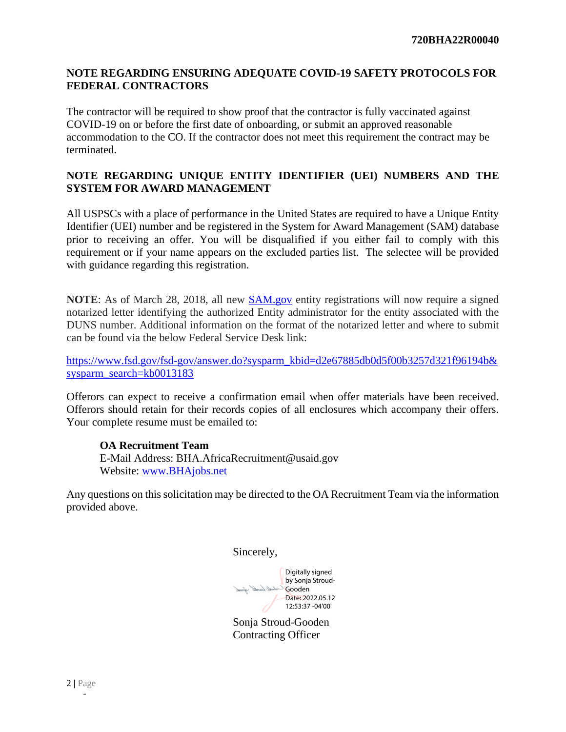### **NOTE REGARDING ENSURING ADEQUATE COVID-19 SAFETY PROTOCOLS FOR FEDERAL CONTRACTORS**

The contractor will be required to show proof that the contractor is fully vaccinated against COVID-19 on or before the first date of onboarding, or submit an approved reasonable accommodation to the CO. If the contractor does not meet this requirement the contract may be terminated.

### **NOTE REGARDING UNIQUE ENTITY IDENTIFIER (UEI) NUMBERS AND THE SYSTEM FOR AWARD MANAGEMENT**

All USPSCs with a place of performance in the United States are required to have a Unique Entity Identifier (UEI) number and be registered in the System for Award Management (SAM) database prior to receiving an offer. You will be disqualified if you either fail to comply with this requirement or if your name appears on the excluded parties list. The selectee will be provided with guidance regarding this registration.

**NOTE**: As of March 28, 2018, all new [SAM.gov](http://sam.gov/) entity registrations will now require a signed notarized letter identifying the authorized Entity administrator for the entity associated with the DUNS number. Additional information on the format of the notarized letter and where to submit can be found via the below Federal Service Desk link:

[https://www.fsd.gov/fsd-gov/answer.do?sysparm\\_kbid=d2e67885db0d5f00b3257d321f96194b&](https://www.fsd.gov/fsd-gov/answer.do?sysparm_kbid=d2e67885db0d5f00b3257d321f96194b&) sysparm\_search=kb0013183

Offerors can expect to receive a confirmation email when offer materials have been received. Offerors should retain for their records copies of all enclosures which accompany their offers. Your complete resume must be emailed to:

### **OA Recruitment Team**

E-Mail Address: BHA.AfricaRecruitment@usaid.gov Website: [www.BHAjobs.net](http://www.bhajobs.net/)

Any questions on this solicitation may be directed to the OA Recruitment Team via the information provided above.

Sincerely, Digitally signed by Sonja Stroud-Gooden Gooden Date: 2022.05.12 12:53:37 -04'00'

Sonja Stroud-Gooden Contracting Officer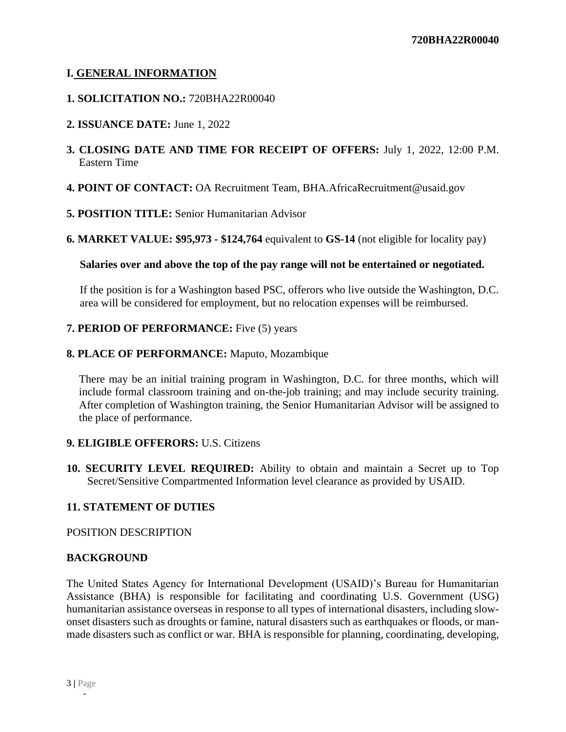# **I. GENERAL INFORMATION**

### **1. SOLICITATION NO.:** 720BHA22R00040

### **2. ISSUANCE DATE:** June 1, 2022

- **3. CLOSING DATE AND TIME FOR RECEIPT OF OFFERS:** July 1, 2022, 12:00 P.M. Eastern Time
- **4. POINT OF CONTACT:** OA Recruitment Team, BHA.AfricaRecruitment@usaid.gov
- **5. POSITION TITLE:** Senior Humanitarian Advisor
- **6. MARKET VALUE: \$95,973 - \$124,764** equivalent to **GS-14** (not eligible for locality pay)

### **Salaries over and above the top of the pay range will not be entertained or negotiated.**

If the position is for a Washington based PSC, offerors who live outside the Washington, D.C. area will be considered for employment, but no relocation expenses will be reimbursed.

### **7. PERIOD OF PERFORMANCE:** Five (5) years

**8. PLACE OF PERFORMANCE:** Maputo, Mozambique

There may be an initial training program in Washington, D.C. for three months, which will include formal classroom training and on-the-job training; and may include security training. After completion of Washington training, the Senior Humanitarian Advisor will be assigned to the place of performance.

### **9. ELIGIBLE OFFERORS:** U.S. Citizens

**10. SECURITY LEVEL REQUIRED:** Ability to obtain and maintain a Secret up to Top Secret/Sensitive Compartmented Information level clearance as provided by USAID.

### **11. STATEMENT OF DUTIES**

#### POSITION DESCRIPTION

### **BACKGROUND**

The United States Agency for International Development (USAID)'s Bureau for Humanitarian Assistance (BHA) is responsible for facilitating and coordinating U.S. Government (USG) humanitarian assistance overseas in response to all types of international disasters, including slowonset disasters such as droughts or famine, natural disasters such as earthquakes or floods, or manmade disasters such as conflict or war. BHA is responsible for planning, coordinating, developing,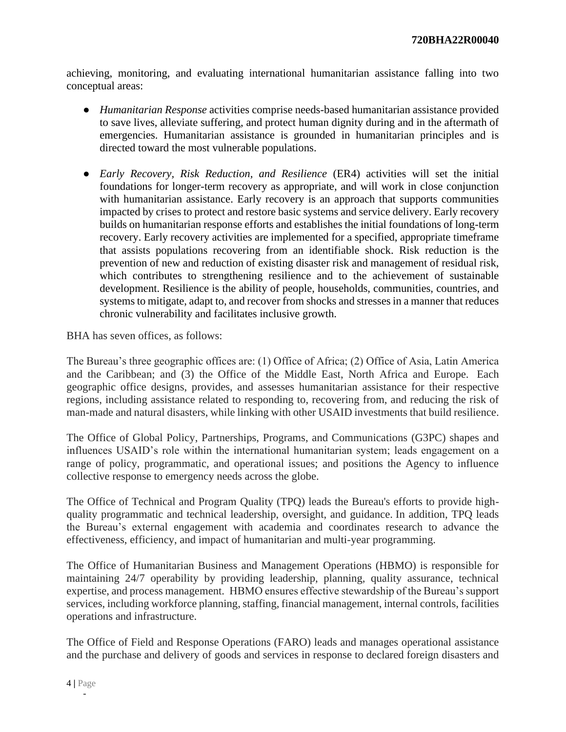achieving, monitoring, and evaluating international humanitarian assistance falling into two conceptual areas:

- *Humanitarian Response* activities comprise needs-based humanitarian assistance provided to save lives, alleviate suffering, and protect human dignity during and in the aftermath of emergencies. Humanitarian assistance is grounded in humanitarian principles and is directed toward the most vulnerable populations.
- *Early Recovery, Risk Reduction, and Resilience* (ER4) activities will set the initial foundations for longer-term recovery as appropriate, and will work in close conjunction with humanitarian assistance. Early recovery is an approach that supports communities impacted by crises to protect and restore basic systems and service delivery. Early recovery builds on humanitarian response efforts and establishes the initial foundations of long-term recovery. Early recovery activities are implemented for a specified, appropriate timeframe that assists populations recovering from an identifiable shock. Risk reduction is the prevention of new and reduction of existing disaster risk and management of residual risk, which contributes to strengthening resilience and to the achievement of sustainable development. Resilience is the ability of people, households, communities, countries, and systems to mitigate, adapt to, and recover from shocks and stresses in a manner that reduces chronic vulnerability and facilitates inclusive growth.

BHA has seven offices, as follows:

The Bureau's three geographic offices are: (1) Office of Africa; (2) Office of Asia, Latin America and the Caribbean; and (3) the Office of the Middle East, North Africa and Europe. Each geographic office designs, provides, and assesses humanitarian assistance for their respective regions, including assistance related to responding to, recovering from, and reducing the risk of man-made and natural disasters, while linking with other USAID investments that build resilience.

The Office of Global Policy, Partnerships, Programs, and Communications (G3PC) shapes and influences USAID's role within the international humanitarian system; leads engagement on a range of policy, programmatic, and operational issues; and positions the Agency to influence collective response to emergency needs across the globe.

The Office of Technical and Program Quality (TPQ) leads the Bureau's efforts to provide highquality programmatic and technical leadership, oversight, and guidance. In addition, TPQ leads the Bureau's external engagement with academia and coordinates research to advance the effectiveness, efficiency, and impact of humanitarian and multi-year programming.

The Office of Humanitarian Business and Management Operations (HBMO) is responsible for maintaining 24/7 operability by providing leadership, planning, quality assurance, technical expertise, and process management. HBMO ensures effective stewardship of the Bureau's support services, including workforce planning, staffing, financial management, internal controls, facilities operations and infrastructure.

The Office of Field and Response Operations (FARO) leads and manages operational assistance and the purchase and delivery of goods and services in response to declared foreign disasters and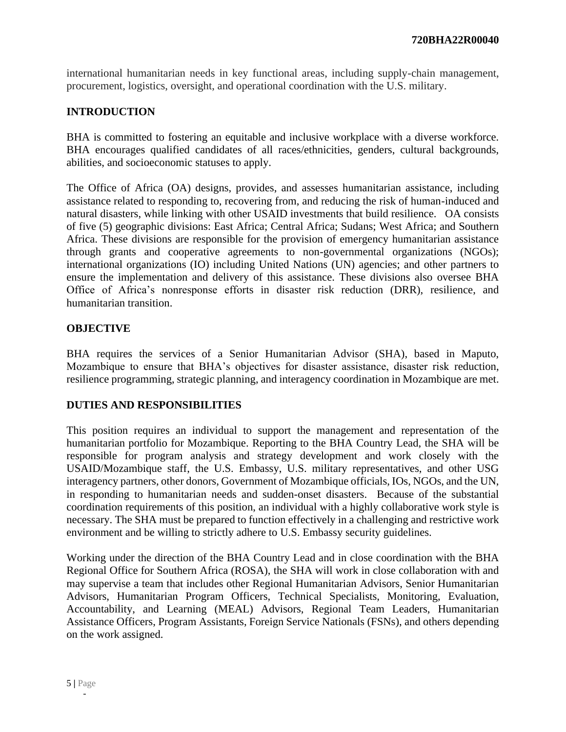international humanitarian needs in key functional areas, including supply-chain management, procurement, logistics, oversight, and operational coordination with the U.S. military.

### **INTRODUCTION**

BHA is committed to fostering an equitable and inclusive workplace with a diverse workforce. BHA encourages qualified candidates of all races/ethnicities, genders, cultural backgrounds, abilities, and socioeconomic statuses to apply.

The Office of Africa (OA) designs, provides, and assesses humanitarian assistance, including assistance related to responding to, recovering from, and reducing the risk of human-induced and natural disasters, while linking with other USAID investments that build resilience. OA consists of five (5) geographic divisions: East Africa; Central Africa; Sudans; West Africa; and Southern Africa. These divisions are responsible for the provision of emergency humanitarian assistance through grants and cooperative agreements to non-governmental organizations (NGOs); international organizations (IO) including United Nations (UN) agencies; and other partners to ensure the implementation and delivery of this assistance. These divisions also oversee BHA Office of Africa's nonresponse efforts in disaster risk reduction (DRR), resilience, and humanitarian transition.

### **OBJECTIVE**

BHA requires the services of a Senior Humanitarian Advisor (SHA), based in Maputo, Mozambique to ensure that BHA's objectives for disaster assistance, disaster risk reduction, resilience programming, strategic planning, and interagency coordination in Mozambique are met.

### **DUTIES AND RESPONSIBILITIES**

This position requires an individual to support the management and representation of the humanitarian portfolio for Mozambique. Reporting to the BHA Country Lead, the SHA will be responsible for program analysis and strategy development and work closely with the USAID/Mozambique staff, the U.S. Embassy, U.S. military representatives, and other USG interagency partners, other donors, Government of Mozambique officials, IOs, NGOs, and the UN, in responding to humanitarian needs and sudden-onset disasters. Because of the substantial coordination requirements of this position, an individual with a highly collaborative work style is necessary. The SHA must be prepared to function effectively in a challenging and restrictive work environment and be willing to strictly adhere to U.S. Embassy security guidelines.

Working under the direction of the BHA Country Lead and in close coordination with the BHA Regional Office for Southern Africa (ROSA), the SHA will work in close collaboration with and may supervise a team that includes other Regional Humanitarian Advisors, Senior Humanitarian Advisors, Humanitarian Program Officers, Technical Specialists, Monitoring, Evaluation, Accountability, and Learning (MEAL) Advisors, Regional Team Leaders, Humanitarian Assistance Officers, Program Assistants, Foreign Service Nationals (FSNs), and others depending on the work assigned.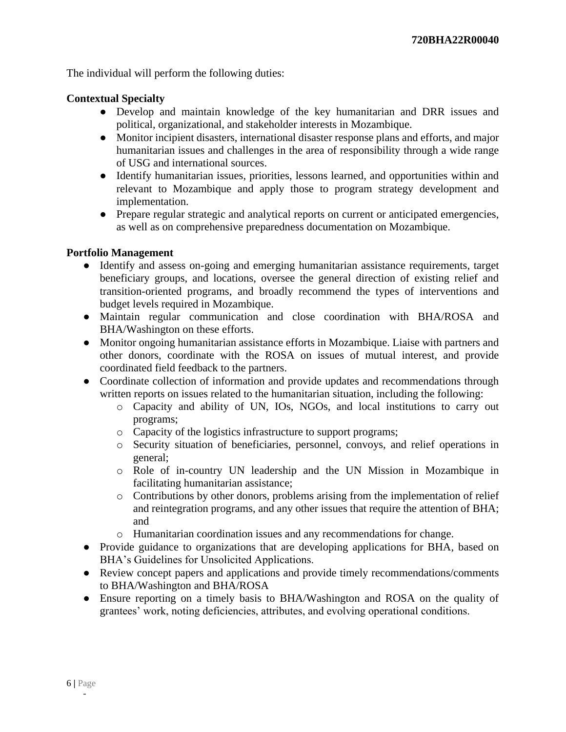The individual will perform the following duties:

### **Contextual Specialty**

- Develop and maintain knowledge of the key humanitarian and DRR issues and political, organizational, and stakeholder interests in Mozambique.
- Monitor incipient disasters, international disaster response plans and efforts, and major humanitarian issues and challenges in the area of responsibility through a wide range of USG and international sources.
- Identify humanitarian issues, priorities, lessons learned, and opportunities within and relevant to Mozambique and apply those to program strategy development and implementation.
- Prepare regular strategic and analytical reports on current or anticipated emergencies, as well as on comprehensive preparedness documentation on Mozambique.

#### **Portfolio Management**

- Identify and assess on-going and emerging humanitarian assistance requirements, target beneficiary groups, and locations, oversee the general direction of existing relief and transition-oriented programs, and broadly recommend the types of interventions and budget levels required in Mozambique.
- Maintain regular communication and close coordination with BHA/ROSA and BHA/Washington on these efforts.
- Monitor ongoing humanitarian assistance efforts in Mozambique. Liaise with partners and other donors, coordinate with the ROSA on issues of mutual interest, and provide coordinated field feedback to the partners.
- Coordinate collection of information and provide updates and recommendations through written reports on issues related to the humanitarian situation, including the following:
	- o Capacity and ability of UN, IOs, NGOs, and local institutions to carry out programs;
	- o Capacity of the logistics infrastructure to support programs;
	- o Security situation of beneficiaries, personnel, convoys, and relief operations in general;
	- o Role of in-country UN leadership and the UN Mission in Mozambique in facilitating humanitarian assistance;
	- o Contributions by other donors, problems arising from the implementation of relief and reintegration programs, and any other issues that require the attention of BHA; and
	- o Humanitarian coordination issues and any recommendations for change.
- Provide guidance to organizations that are developing applications for BHA, based on BHA's Guidelines for Unsolicited Applications.
- Review concept papers and applications and provide timely recommendations/comments to BHA/Washington and BHA/ROSA
- Ensure reporting on a timely basis to BHA/Washington and ROSA on the quality of grantees' work, noting deficiencies, attributes, and evolving operational conditions.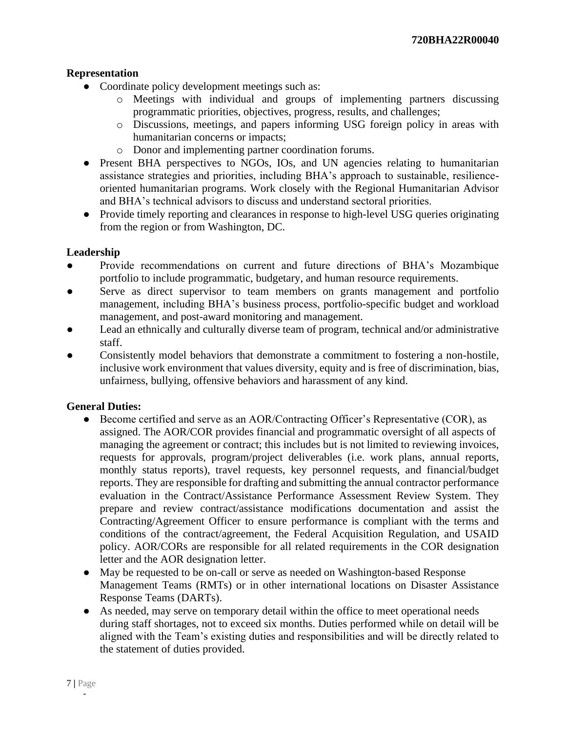# **Representation**

- Coordinate policy development meetings such as:
	- o Meetings with individual and groups of implementing partners discussing programmatic priorities, objectives, progress, results, and challenges;
	- o Discussions, meetings, and papers informing USG foreign policy in areas with humanitarian concerns or impacts;
	- o Donor and implementing partner coordination forums.
- Present BHA perspectives to NGOs, IOs, and UN agencies relating to humanitarian assistance strategies and priorities, including BHA's approach to sustainable, resilienceoriented humanitarian programs. Work closely with the Regional Humanitarian Advisor and BHA's technical advisors to discuss and understand sectoral priorities.
- Provide timely reporting and clearances in response to high-level USG queries originating from the region or from Washington, DC.

# **Leadership**

- Provide recommendations on current and future directions of BHA's Mozambique portfolio to include programmatic, budgetary, and human resource requirements.
- Serve as direct supervisor to team members on grants management and portfolio management, including BHA's business process, portfolio-specific budget and workload management, and post-award monitoring and management.
- Lead an ethnically and culturally diverse team of program, technical and/or administrative staff.
- Consistently model behaviors that demonstrate a commitment to fostering a non-hostile, inclusive work environment that values diversity, equity and is free of discrimination, bias, unfairness, bullying, offensive behaviors and harassment of any kind.

# **General Duties:**

- Become certified and serve as an AOR/Contracting Officer's Representative (COR), as assigned. The AOR/COR provides financial and programmatic oversight of all aspects of managing the agreement or contract; this includes but is not limited to reviewing invoices, requests for approvals, program/project deliverables (i.e. work plans, annual reports, monthly status reports), travel requests, key personnel requests, and financial/budget reports. They are responsible for drafting and submitting the annual contractor performance evaluation in the Contract/Assistance Performance Assessment Review System. They prepare and review contract/assistance modifications documentation and assist the Contracting/Agreement Officer to ensure performance is compliant with the terms and conditions of the contract/agreement, the Federal Acquisition Regulation, and USAID policy. AOR/CORs are responsible for all related requirements in the COR designation letter and the AOR designation letter.
- May be requested to be on-call or serve as needed on Washington-based Response Management Teams (RMTs) or in other international locations on Disaster Assistance Response Teams (DARTs).
- As needed, may serve on temporary detail within the office to meet operational needs during staff shortages, not to exceed six months. Duties performed while on detail will be aligned with the Team's existing duties and responsibilities and will be directly related to the statement of duties provided.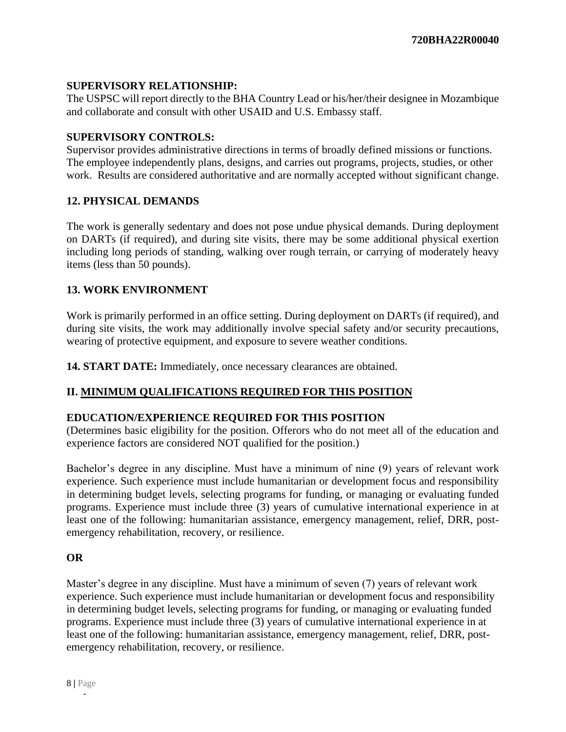### **SUPERVISORY RELATIONSHIP:**

The USPSC will report directly to the BHA Country Lead or his/her/their designee in Mozambique and collaborate and consult with other USAID and U.S. Embassy staff.

# **SUPERVISORY CONTROLS:**

Supervisor provides administrative directions in terms of broadly defined missions or functions. The employee independently plans, designs, and carries out programs, projects, studies, or other work. Results are considered authoritative and are normally accepted without significant change.

### **12. PHYSICAL DEMANDS**

The work is generally sedentary and does not pose undue physical demands. During deployment on DARTs (if required), and during site visits, there may be some additional physical exertion including long periods of standing, walking over rough terrain, or carrying of moderately heavy items (less than 50 pounds).

# **13. WORK ENVIRONMENT**

Work is primarily performed in an office setting. During deployment on DARTs (if required), and during site visits, the work may additionally involve special safety and/or security precautions, wearing of protective equipment, and exposure to severe weather conditions.

**14. START DATE:** Immediately, once necessary clearances are obtained.

# **II. MINIMUM QUALIFICATIONS REQUIRED FOR THIS POSITION**

### **EDUCATION/EXPERIENCE REQUIRED FOR THIS POSITION**

(Determines basic eligibility for the position. Offerors who do not meet all of the education and experience factors are considered NOT qualified for the position.)

Bachelor's degree in any discipline. Must have a minimum of nine (9) years of relevant work experience. Such experience must include humanitarian or development focus and responsibility in determining budget levels, selecting programs for funding, or managing or evaluating funded programs. Experience must include three (3) years of cumulative international experience in at least one of the following: humanitarian assistance, emergency management, relief, DRR, postemergency rehabilitation, recovery, or resilience.

#### **OR**

Master's degree in any discipline. Must have a minimum of seven (7) years of relevant work experience. Such experience must include humanitarian or development focus and responsibility in determining budget levels, selecting programs for funding, or managing or evaluating funded programs. Experience must include three (3) years of cumulative international experience in at least one of the following: humanitarian assistance, emergency management, relief, DRR, postemergency rehabilitation, recovery, or resilience.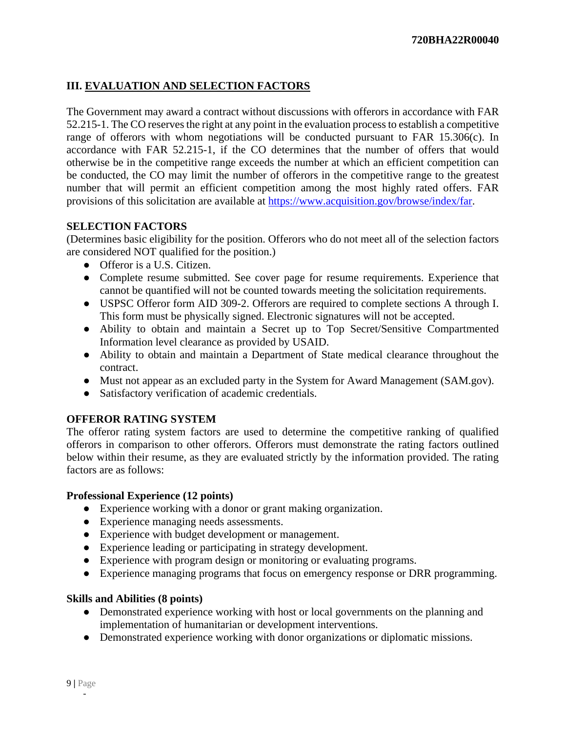# **III. EVALUATION AND SELECTION FACTORS**

The Government may award a contract without discussions with offerors in accordance with FAR 52.215-1. The CO reserves the right at any point in the evaluation process to establish a competitive range of offerors with whom negotiations will be conducted pursuant to FAR 15.306(c). In accordance with FAR 52.215-1, if the CO determines that the number of offers that would otherwise be in the competitive range exceeds the number at which an efficient competition can be conducted, the CO may limit the number of offerors in the competitive range to the greatest number that will permit an efficient competition among the most highly rated offers. FAR provisions of this solicitation are available at [https://www.acquisition.gov/browse/index/far.](https://www.acquisition.gov/browse/index/far)

# **SELECTION FACTORS**

(Determines basic eligibility for the position. Offerors who do not meet all of the selection factors are considered NOT qualified for the position.)

- Offeror is a U.S. Citizen.
- Complete resume submitted. See cover page for resume requirements. Experience that cannot be quantified will not be counted towards meeting the solicitation requirements.
- USPSC Offeror form AID 309-2. Offerors are required to complete sections A through I. This form must be physically signed. Electronic signatures will not be accepted.
- Ability to obtain and maintain a Secret up to Top Secret/Sensitive Compartmented Information level clearance as provided by USAID.
- Ability to obtain and maintain a Department of State medical clearance throughout the contract.
- Must not appear as an excluded party in the System for Award Management (SAM.gov).
- Satisfactory verification of academic credentials.

# **OFFEROR RATING SYSTEM**

The offeror rating system factors are used to determine the competitive ranking of qualified offerors in comparison to other offerors. Offerors must demonstrate the rating factors outlined below within their resume, as they are evaluated strictly by the information provided. The rating factors are as follows:

### **Professional Experience (12 points)**

- Experience working with a donor or grant making organization.
- Experience managing needs assessments.
- Experience with budget development or management.
- Experience leading or participating in strategy development.
- Experience with program design or monitoring or evaluating programs.
- Experience managing programs that focus on emergency response or DRR programming.

### **Skills and Abilities (8 points)**

- Demonstrated experience working with host or local governments on the planning and implementation of humanitarian or development interventions.
- Demonstrated experience working with donor organizations or diplomatic missions.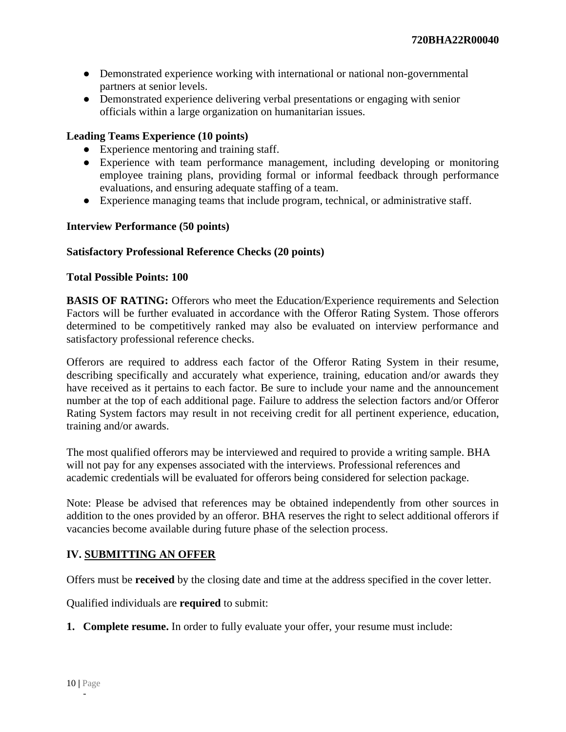- Demonstrated experience working with international or national non-governmental partners at senior levels.
- Demonstrated experience delivering verbal presentations or engaging with senior officials within a large organization on humanitarian issues.

### **Leading Teams Experience (10 points)**

- Experience mentoring and training staff.
- Experience with team performance management, including developing or monitoring employee training plans, providing formal or informal feedback through performance evaluations, and ensuring adequate staffing of a team.
- Experience managing teams that include program, technical, or administrative staff.

### **Interview Performance (50 points)**

### **Satisfactory Professional Reference Checks (20 points)**

### **Total Possible Points: 100**

**BASIS OF RATING:** Offerors who meet the Education/Experience requirements and Selection Factors will be further evaluated in accordance with the Offeror Rating System. Those offerors determined to be competitively ranked may also be evaluated on interview performance and satisfactory professional reference checks.

Offerors are required to address each factor of the Offeror Rating System in their resume, describing specifically and accurately what experience, training, education and/or awards they have received as it pertains to each factor. Be sure to include your name and the announcement number at the top of each additional page. Failure to address the selection factors and/or Offeror Rating System factors may result in not receiving credit for all pertinent experience, education, training and/or awards.

The most qualified offerors may be interviewed and required to provide a writing sample. BHA will not pay for any expenses associated with the interviews. Professional references and academic credentials will be evaluated for offerors being considered for selection package.

Note: Please be advised that references may be obtained independently from other sources in addition to the ones provided by an offeror. BHA reserves the right to select additional offerors if vacancies become available during future phase of the selection process.

### **IV. SUBMITTING AN OFFER**

Offers must be **received** by the closing date and time at the address specified in the cover letter.

Qualified individuals are **required** to submit:

**1. Complete resume.** In order to fully evaluate your offer, your resume must include: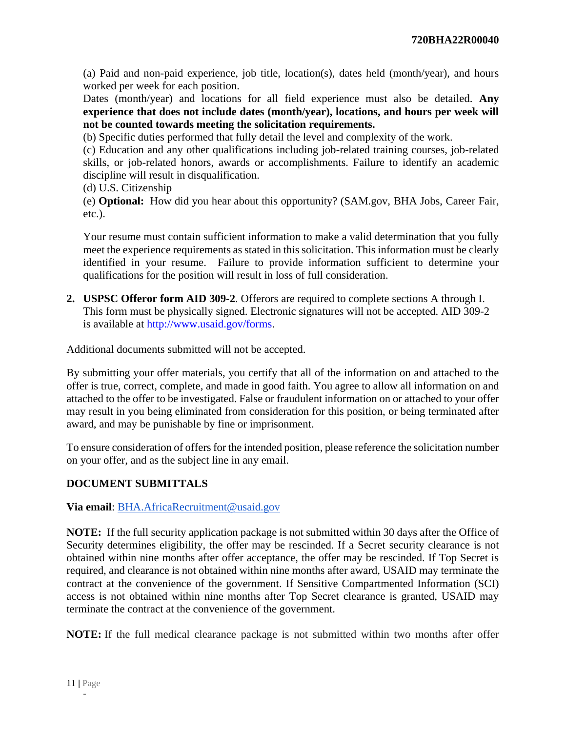(a) Paid and non-paid experience, job title, location(s), dates held (month/year), and hours worked per week for each position.

Dates (month/year) and locations for all field experience must also be detailed. **Any experience that does not include dates (month/year), locations, and hours per week will not be counted towards meeting the solicitation requirements.**

(b) Specific duties performed that fully detail the level and complexity of the work.

(c) Education and any other qualifications including job-related training courses, job-related skills, or job-related honors, awards or accomplishments. Failure to identify an academic discipline will result in disqualification.

(d) U.S. Citizenship

(e) **Optional:** How did you hear about this opportunity? (SAM.gov, BHA Jobs, Career Fair, etc.).

Your resume must contain sufficient information to make a valid determination that you fully meet the experience requirements as stated in this solicitation. This information must be clearly identified in your resume. Failure to provide information sufficient to determine your qualifications for the position will result in loss of full consideration.

**2. USPSC Offeror form AID 309-2**. Offerors are required to complete sections A through I. This form must be physically signed. Electronic signatures will not be accepted. AID 309-2 is available at http://www.usaid.gov/forms.

Additional documents submitted will not be accepted.

By submitting your offer materials, you certify that all of the information on and attached to the offer is true, correct, complete, and made in good faith. You agree to allow all information on and attached to the offer to be investigated. False or fraudulent information on or attached to your offer may result in you being eliminated from consideration for this position, or being terminated after award, and may be punishable by fine or imprisonment.

To ensure consideration of offers for the intended position, please reference the solicitation number on your offer, and as the subject line in any email.

# **DOCUMENT SUBMITTALS**

# **Via email**: [BHA.AfricaRecruitment@usaid.gov](mailto:BHA.AfricaRecruitment@usaid.gov)

**NOTE:** If the full security application package is not submitted within 30 days after the Office of Security determines eligibility, the offer may be rescinded. If a Secret security clearance is not obtained within nine months after offer acceptance, the offer may be rescinded. If Top Secret is required, and clearance is not obtained within nine months after award, USAID may terminate the contract at the convenience of the government. If Sensitive Compartmented Information (SCI) access is not obtained within nine months after Top Secret clearance is granted, USAID may terminate the contract at the convenience of the government.

**NOTE:** If the full medical clearance package is not submitted within two months after offer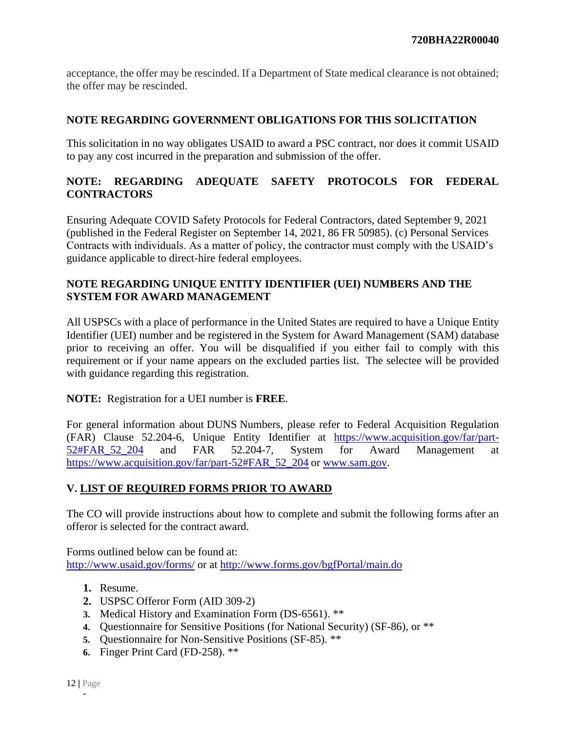acceptance, the offer may be rescinded. If a Department of State medical clearance is not obtained; the offer may be rescinded.

### **NOTE REGARDING GOVERNMENT OBLIGATIONS FOR THIS SOLICITATION**

This solicitation in no way obligates USAID to award a PSC contract, nor does it commit USAID to pay any cost incurred in the preparation and submission of the offer.

# **NOTE: REGARDING ADEQUATE SAFETY PROTOCOLS FOR FEDERAL CONTRACTORS**

Ensuring Adequate COVID Safety Protocols for Federal Contractors, dated September 9, 2021 (published in the Federal Register on September 14, 2021, 86 FR 50985). (c) Personal Services Contracts with individuals. As a matter of policy, the contractor must comply with the USAID's guidance applicable to direct-hire federal employees.

### **NOTE REGARDING UNIQUE ENTITY IDENTIFIER (UEI) NUMBERS AND THE SYSTEM FOR AWARD MANAGEMENT**

All USPSCs with a place of performance in the United States are required to have a Unique Entity Identifier (UEI) number and be registered in the System for Award Management (SAM) database prior to receiving an offer. You will be disqualified if you either fail to comply with this requirement or if your name appears on the excluded parties list. The selectee will be provided with guidance regarding this registration.

### **NOTE:** Registration for a UEI number is **FREE**.

For general information about DUNS Numbers, please refer to Federal Acquisition Regulation (FAR) Clause 52.204-6, Unique Entity Identifier at [https://www.acquisition.gov/far/part-](https://www.acquisition.gov/far/part-52#FAR_52_204)[52#FAR\\_52\\_204](https://www.acquisition.gov/far/part-52#FAR_52_204) and FAR 52.204-7, System for Award Management at [https://www.acquisition.gov/far/part-52#FAR\\_52\\_204](https://www.acquisition.gov/far/part-52#FAR_52_204) or [www.sam.gov.](http://www.sam.gov/)

# **V. LIST OF REQUIRED FORMS PRIOR TO AWARD**

The CO will provide instructions about how to complete and submit the following forms after an offeror is selected for the contract award.

Forms outlined below can be found at: <http://www.usaid.gov/forms/> or at<http://www.forms.gov/bgfPortal/main.do>

- **1.** Resume.
- **2.** USPSC Offeror Form (AID 309-2)
- **3.** Medical History and Examination Form (DS-6561). \*\*
- **4.** Questionnaire for Sensitive Positions (for National Security) (SF-86), or \*\*
- **5.** Questionnaire for Non-Sensitive Positions (SF-85). \*\*
- **6.** Finger Print Card (FD-258). \*\*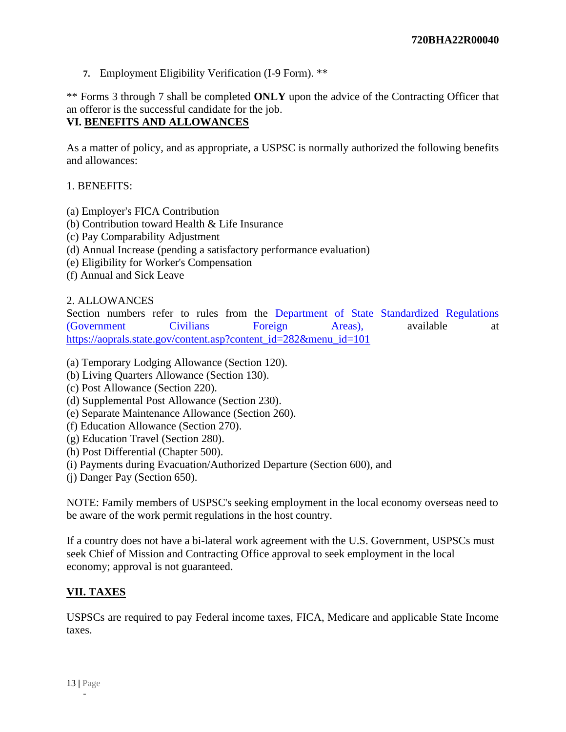### **7.** Employment Eligibility Verification (I-9 Form). \*\*

\*\* Forms 3 through 7 shall be completed **ONLY** upon the advice of the Contracting Officer that an offeror is the successful candidate for the job.

# **VI. BENEFITS AND ALLOWANCES**

As a matter of policy, and as appropriate, a USPSC is normally authorized the following benefits and allowances:

### 1. BENEFITS:

- (a) Employer's FICA Contribution
- (b) Contribution toward Health & Life Insurance
- (c) Pay Comparability Adjustment
- (d) Annual Increase (pending a satisfactory performance evaluation)
- (e) Eligibility for Worker's Compensation
- (f) Annual and Sick Leave

2. ALLOWANCES

Section numbers refer to rules from the Department of State Standardized Regulations (Government Civilians Foreign Areas), available at [https://aoprals.state.gov/content.asp?content\\_id=282&menu\\_id=101](https://aoprals.state.gov/content.asp?content_id=282&menu_id=101)

(a) Temporary Lodging Allowance (Section 120).

- (b) Living Quarters Allowance (Section 130).
- (c) Post Allowance (Section 220).
- (d) Supplemental Post Allowance (Section 230).
- (e) Separate Maintenance Allowance (Section 260).
- (f) Education Allowance (Section 270).
- (g) Education Travel (Section 280).
- (h) Post Differential (Chapter 500).
- (i) Payments during Evacuation/Authorized Departure (Section 600), and
- (j) Danger Pay (Section 650).

NOTE: Family members of USPSC's seeking employment in the local economy overseas need to be aware of the work permit regulations in the host country.

If a country does not have a bi-lateral work agreement with the U.S. Government, USPSCs must seek Chief of Mission and Contracting Office approval to seek employment in the local economy; approval is not guaranteed.

### **VII. TAXES**

USPSCs are required to pay Federal income taxes, FICA, Medicare and applicable State Income taxes.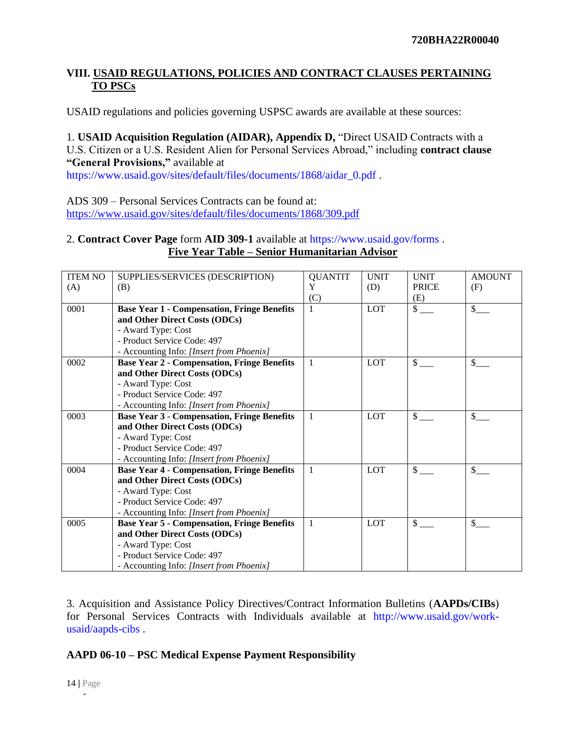# **VIII. USAID REGULATIONS, POLICIES AND CONTRACT CLAUSES PERTAINING TO PSCs**

USAID regulations and policies governing USPSC awards are available at these sources:

1. **USAID Acquisition Regulation (AIDAR), Appendix D,** "Direct USAID Contracts with a U.S. Citizen or a U.S. Resident Alien for Personal Services Abroad," including **contract clause "General Provisions,"** available at

https://www.usaid.gov/sites/default/files/documents/1868/aidar\_0.pdf .

ADS 309 – Personal Services Contracts can be found at: <https://www.usaid.gov/sites/default/files/documents/1868/309.pdf>

### 2. **Contract Cover Page** form **AID 309-1** available at https://www.usaid.gov/forms . **Five Year Table – Senior Humanitarian Advisor**

| <b>ITEM NO</b> | SUPPLIES/SERVICES (DESCRIPTION)                    | <b>QUANTIT</b> | <b>UNIT</b> | <b>UNIT</b>   | <b>AMOUNT</b> |
|----------------|----------------------------------------------------|----------------|-------------|---------------|---------------|
| (A)            | (B)                                                | Y              | (D)         | <b>PRICE</b>  | (F)           |
|                |                                                    | (C)            |             | (E)           |               |
| 0001           | <b>Base Year 1 - Compensation, Fringe Benefits</b> | 1              | LOT         | $\frac{1}{2}$ | \$            |
|                | and Other Direct Costs (ODCs)                      |                |             |               |               |
|                | - Award Type: Cost                                 |                |             |               |               |
|                | - Product Service Code: 497                        |                |             |               |               |
|                | - Accounting Info: [Insert from Phoenix]           |                |             |               |               |
| 0002           | <b>Base Year 2 - Compensation, Fringe Benefits</b> | 1              | LOT         | $S_{-}$       | $\mathbb{S}$  |
|                | and Other Direct Costs (ODCs)                      |                |             |               |               |
|                | - Award Type: Cost                                 |                |             |               |               |
|                | - Product Service Code: 497                        |                |             |               |               |
|                | - Accounting Info: [Insert from Phoenix]           |                |             |               |               |
| 0003           | <b>Base Year 3 - Compensation, Fringe Benefits</b> | 1              | LOT         | \$            | \$            |
|                | and Other Direct Costs (ODCs)                      |                |             |               |               |
|                | - Award Type: Cost                                 |                |             |               |               |
|                | - Product Service Code: 497                        |                |             |               |               |
|                | - Accounting Info: [Insert from Phoenix]           |                |             |               |               |
| 0004           | <b>Base Year 4 - Compensation, Fringe Benefits</b> | 1              | LOT         | $\mathcal{S}$ | \$            |
|                | and Other Direct Costs (ODCs)                      |                |             |               |               |
|                | - Award Type: Cost                                 |                |             |               |               |
|                | - Product Service Code: 497                        |                |             |               |               |
|                | - Accounting Info: [Insert from Phoenix]           |                |             |               |               |
| 0005           | <b>Base Year 5 - Compensation, Fringe Benefits</b> | 1              | LOT         | $\frac{1}{2}$ | \$            |
|                | and Other Direct Costs (ODCs)                      |                |             |               |               |
|                | - Award Type: Cost                                 |                |             |               |               |
|                | - Product Service Code: 497                        |                |             |               |               |
|                | - Accounting Info: [Insert from Phoenix]           |                |             |               |               |

3. Acquisition and Assistance Policy Directives/Contract Information Bulletins (**AAPDs/CIBs**) for Personal Services Contracts with Individuals available at http://www.usaid.gov/workusaid/aapds-cibs .

# **AAPD 06-10 – PSC Medical Expense Payment Responsibility**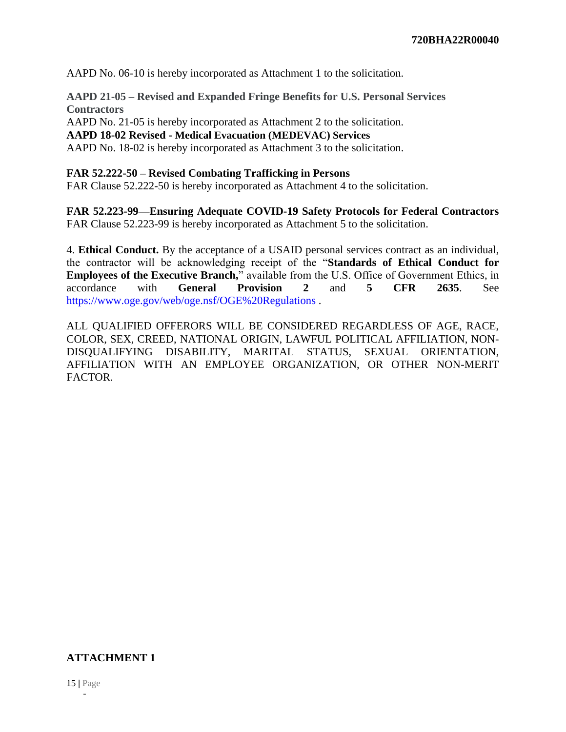AAPD No. 06-10 is hereby incorporated as Attachment 1 to the solicitation.

**AAPD 21-05 – Revised and Expanded Fringe Benefits for U.S. Personal Services Contractors**

AAPD No. 21-05 is hereby incorporated as Attachment 2 to the solicitation. **AAPD 18-02 Revised - Medical Evacuation (MEDEVAC) Services** AAPD No. 18-02 is hereby incorporated as Attachment 3 to the solicitation.

#### **FAR 52.222-50 – Revised Combating Trafficking in Persons**

FAR Clause 52.222-50 is hereby incorporated as Attachment 4 to the solicitation.

**FAR 52.223-99—Ensuring Adequate COVID-19 Safety Protocols for Federal Contractors**  FAR Clause 52.223-99 is hereby incorporated as Attachment 5 to the solicitation.

4. **Ethical Conduct.** By the acceptance of a USAID personal services contract as an individual, the contractor will be acknowledging receipt of the "**Standards of Ethical Conduct for Employees of the Executive Branch,**" available from the U.S. Office of Government Ethics, in accordance with **General Provision 2** and **5 CFR 2635**. See https://www.oge.gov/web/oge.nsf/OGE%20Regulations .

ALL QUALIFIED OFFERORS WILL BE CONSIDERED REGARDLESS OF AGE, RACE, COLOR, SEX, CREED, NATIONAL ORIGIN, LAWFUL POLITICAL AFFILIATION, NON-DISQUALIFYING DISABILITY, MARITAL STATUS, SEXUAL ORIENTATION, AFFILIATION WITH AN EMPLOYEE ORGANIZATION, OR OTHER NON-MERIT FACTOR.

### **ATTACHMENT 1**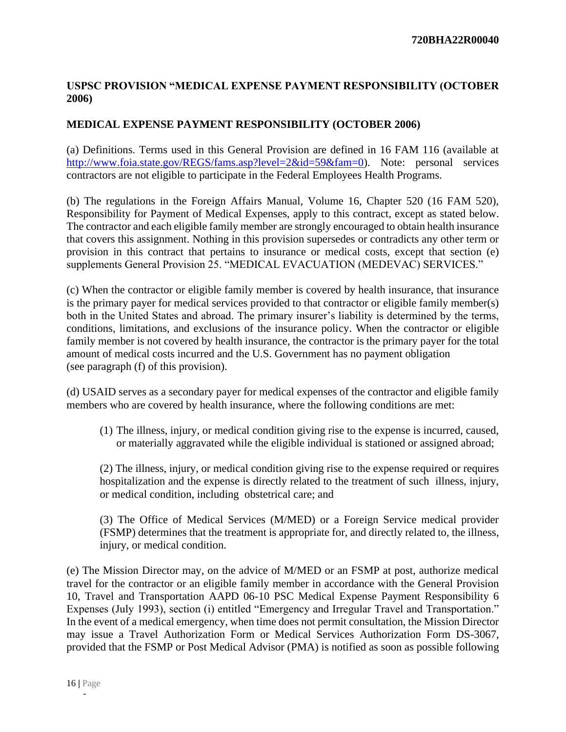# **USPSC PROVISION "MEDICAL EXPENSE PAYMENT RESPONSIBILITY (OCTOBER 2006)**

# **MEDICAL EXPENSE PAYMENT RESPONSIBILITY (OCTOBER 2006)**

(a) Definitions. Terms used in this General Provision are defined in 16 FAM 116 (available at [http://www.foia.state.gov/REGS/fams.asp?level=2&id=59&fam=0\)](http://www.foia.state.gov/REGS/fams.asp?level=2&id=59&fam=0). Note: personal services contractors are not eligible to participate in the Federal Employees Health Programs.

(b) The regulations in the Foreign Affairs Manual, Volume 16, Chapter 520 (16 FAM 520), Responsibility for Payment of Medical Expenses, apply to this contract, except as stated below. The contractor and each eligible family member are strongly encouraged to obtain health insurance that covers this assignment. Nothing in this provision supersedes or contradicts any other term or provision in this contract that pertains to insurance or medical costs, except that section (e) supplements General Provision 25. "MEDICAL EVACUATION (MEDEVAC) SERVICES."

(c) When the contractor or eligible family member is covered by health insurance, that insurance is the primary payer for medical services provided to that contractor or eligible family member(s) both in the United States and abroad. The primary insurer's liability is determined by the terms, conditions, limitations, and exclusions of the insurance policy. When the contractor or eligible family member is not covered by health insurance, the contractor is the primary payer for the total amount of medical costs incurred and the U.S. Government has no payment obligation (see paragraph (f) of this provision).

(d) USAID serves as a secondary payer for medical expenses of the contractor and eligible family members who are covered by health insurance, where the following conditions are met:

(1) The illness, injury, or medical condition giving rise to the expense is incurred, caused, or materially aggravated while the eligible individual is stationed or assigned abroad;

(2) The illness, injury, or medical condition giving rise to the expense required or requires hospitalization and the expense is directly related to the treatment of such illness, injury, or medical condition, including obstetrical care; and

(3) The Office of Medical Services (M/MED) or a Foreign Service medical provider (FSMP) determines that the treatment is appropriate for, and directly related to, the illness, injury, or medical condition.

(e) The Mission Director may, on the advice of M/MED or an FSMP at post, authorize medical travel for the contractor or an eligible family member in accordance with the General Provision 10, Travel and Transportation AAPD 06-10 PSC Medical Expense Payment Responsibility 6 Expenses (July 1993), section (i) entitled "Emergency and Irregular Travel and Transportation." In the event of a medical emergency, when time does not permit consultation, the Mission Director may issue a Travel Authorization Form or Medical Services Authorization Form DS-3067, provided that the FSMP or Post Medical Advisor (PMA) is notified as soon as possible following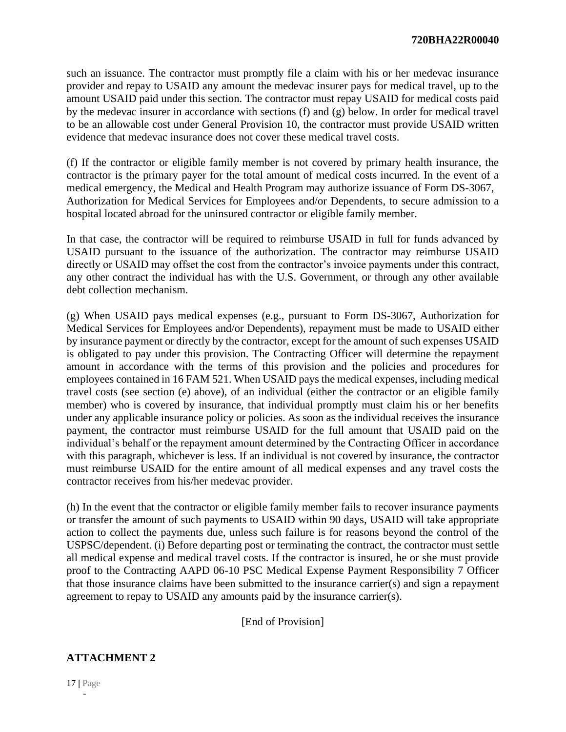such an issuance. The contractor must promptly file a claim with his or her medevac insurance provider and repay to USAID any amount the medevac insurer pays for medical travel, up to the amount USAID paid under this section. The contractor must repay USAID for medical costs paid by the medevac insurer in accordance with sections (f) and (g) below. In order for medical travel to be an allowable cost under General Provision 10, the contractor must provide USAID written evidence that medevac insurance does not cover these medical travel costs.

(f) If the contractor or eligible family member is not covered by primary health insurance, the contractor is the primary payer for the total amount of medical costs incurred. In the event of a medical emergency, the Medical and Health Program may authorize issuance of Form DS-3067, Authorization for Medical Services for Employees and/or Dependents, to secure admission to a hospital located abroad for the uninsured contractor or eligible family member.

In that case, the contractor will be required to reimburse USAID in full for funds advanced by USAID pursuant to the issuance of the authorization. The contractor may reimburse USAID directly or USAID may offset the cost from the contractor's invoice payments under this contract, any other contract the individual has with the U.S. Government, or through any other available debt collection mechanism.

(g) When USAID pays medical expenses (e.g., pursuant to Form DS-3067, Authorization for Medical Services for Employees and/or Dependents), repayment must be made to USAID either by insurance payment or directly by the contractor, except for the amount of such expenses USAID is obligated to pay under this provision. The Contracting Officer will determine the repayment amount in accordance with the terms of this provision and the policies and procedures for employees contained in 16 FAM 521. When USAID pays the medical expenses, including medical travel costs (see section (e) above), of an individual (either the contractor or an eligible family member) who is covered by insurance, that individual promptly must claim his or her benefits under any applicable insurance policy or policies. As soon as the individual receives the insurance payment, the contractor must reimburse USAID for the full amount that USAID paid on the individual's behalf or the repayment amount determined by the Contracting Officer in accordance with this paragraph, whichever is less. If an individual is not covered by insurance, the contractor must reimburse USAID for the entire amount of all medical expenses and any travel costs the contractor receives from his/her medevac provider.

(h) In the event that the contractor or eligible family member fails to recover insurance payments or transfer the amount of such payments to USAID within 90 days, USAID will take appropriate action to collect the payments due, unless such failure is for reasons beyond the control of the USPSC/dependent. (i) Before departing post or terminating the contract, the contractor must settle all medical expense and medical travel costs. If the contractor is insured, he or she must provide proof to the Contracting AAPD 06-10 PSC Medical Expense Payment Responsibility 7 Officer that those insurance claims have been submitted to the insurance carrier(s) and sign a repayment agreement to repay to USAID any amounts paid by the insurance carrier(s).

[End of Provision]

# **ATTACHMENT 2**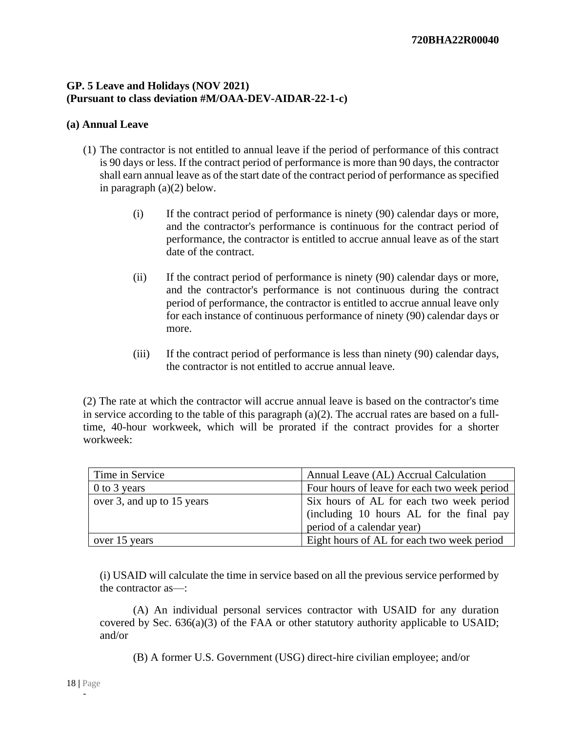### **GP. 5 Leave and Holidays (NOV 2021) (Pursuant to class deviation #M/OAA-DEV-AIDAR-22-1-c)**

#### **(a) Annual Leave**

- (1) The contractor is not entitled to annual leave if the period of performance of this contract is 90 days or less. If the contract period of performance is more than 90 days, the contractor shall earn annual leave as of the start date of the contract period of performance as specified in paragraph (a)(2) below.
	- (i) If the contract period of performance is ninety (90) calendar days or more, and the contractor's performance is continuous for the contract period of performance, the contractor is entitled to accrue annual leave as of the start date of the contract.
	- (ii) If the contract period of performance is ninety (90) calendar days or more, and the contractor's performance is not continuous during the contract period of performance, the contractor is entitled to accrue annual leave only for each instance of continuous performance of ninety (90) calendar days or more.
	- (iii) If the contract period of performance is less than ninety (90) calendar days, the contractor is not entitled to accrue annual leave.

(2) The rate at which the contractor will accrue annual leave is based on the contractor's time in service according to the table of this paragraph  $(a)(2)$ . The accrual rates are based on a fulltime, 40-hour workweek, which will be prorated if the contract provides for a shorter workweek:

| Time in Service            | Annual Leave (AL) Accrual Calculation        |  |  |
|----------------------------|----------------------------------------------|--|--|
| 0 to 3 years               | Four hours of leave for each two week period |  |  |
| over 3, and up to 15 years | Six hours of AL for each two week period     |  |  |
|                            | (including 10 hours AL for the final pay     |  |  |
|                            | period of a calendar year)                   |  |  |
| over 15 years              | Eight hours of AL for each two week period   |  |  |

(i) USAID will calculate the time in service based on all the previous service performed by the contractor as—:

(A) An individual personal services contractor with USAID for any duration covered by Sec. 636(a)(3) of the FAA or other statutory authority applicable to USAID; and/or

(B) A former U.S. Government (USG) direct-hire civilian employee; and/or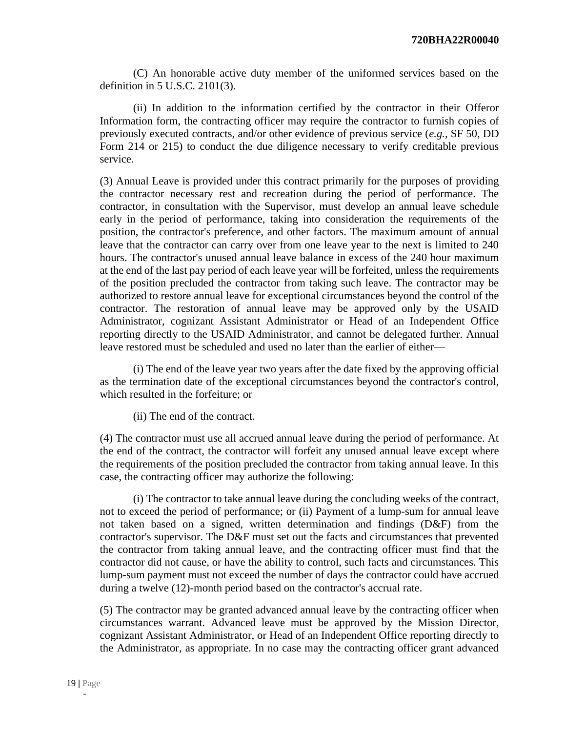(C) An honorable active duty member of the uniformed services based on the definition in 5 U.S.C. 2101(3).

(ii) In addition to the information certified by the contractor in their Offeror Information form, the contracting officer may require the contractor to furnish copies of previously executed contracts, and/or other evidence of previous service (*e.g.,* SF 50, DD Form 214 or 215) to conduct the due diligence necessary to verify creditable previous service.

(3) Annual Leave is provided under this contract primarily for the purposes of providing the contractor necessary rest and recreation during the period of performance. The contractor, in consultation with the Supervisor, must develop an annual leave schedule early in the period of performance, taking into consideration the requirements of the position, the contractor's preference, and other factors. The maximum amount of annual leave that the contractor can carry over from one leave year to the next is limited to 240 hours. The contractor's unused annual leave balance in excess of the 240 hour maximum at the end of the last pay period of each leave year will be forfeited, unless the requirements of the position precluded the contractor from taking such leave. The contractor may be authorized to restore annual leave for exceptional circumstances beyond the control of the contractor. The restoration of annual leave may be approved only by the USAID Administrator, cognizant Assistant Administrator or Head of an Independent Office reporting directly to the USAID Administrator, and cannot be delegated further. Annual leave restored must be scheduled and used no later than the earlier of either—

(i) The end of the leave year two years after the date fixed by the approving official as the termination date of the exceptional circumstances beyond the contractor's control, which resulted in the forfeiture; or

(ii) The end of the contract.

(4) The contractor must use all accrued annual leave during the period of performance. At the end of the contract, the contractor will forfeit any unused annual leave except where the requirements of the position precluded the contractor from taking annual leave. In this case, the contracting officer may authorize the following:

(i) The contractor to take annual leave during the concluding weeks of the contract, not to exceed the period of performance; or (ii) Payment of a lump-sum for annual leave not taken based on a signed, written determination and findings (D&F) from the contractor's supervisor. The D&F must set out the facts and circumstances that prevented the contractor from taking annual leave, and the contracting officer must find that the contractor did not cause, or have the ability to control, such facts and circumstances. This lump-sum payment must not exceed the number of days the contractor could have accrued during a twelve (12)-month period based on the contractor's accrual rate.

(5) The contractor may be granted advanced annual leave by the contracting officer when circumstances warrant. Advanced leave must be approved by the Mission Director, cognizant Assistant Administrator, or Head of an Independent Office reporting directly to the Administrator, as appropriate. In no case may the contracting officer grant advanced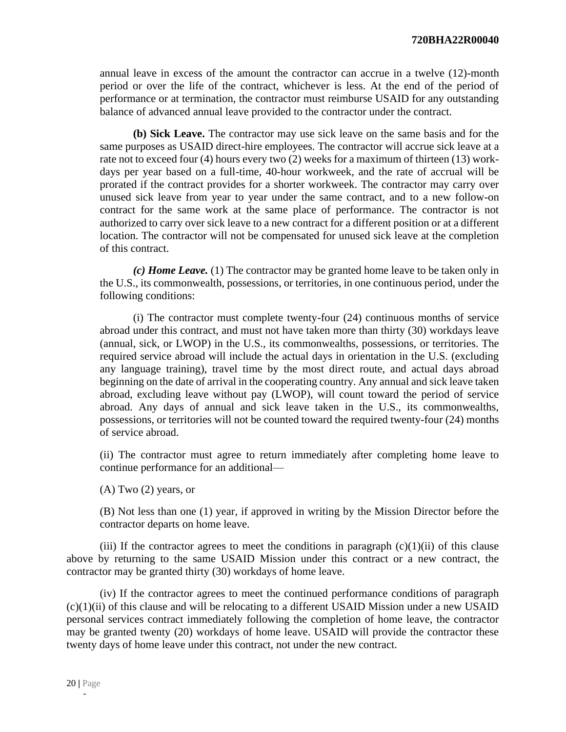annual leave in excess of the amount the contractor can accrue in a twelve (12)-month period or over the life of the contract, whichever is less. At the end of the period of performance or at termination, the contractor must reimburse USAID for any outstanding balance of advanced annual leave provided to the contractor under the contract.

**(b) Sick Leave.** The contractor may use sick leave on the same basis and for the same purposes as USAID direct-hire employees. The contractor will accrue sick leave at a rate not to exceed four (4) hours every two (2) weeks for a maximum of thirteen (13) workdays per year based on a full-time, 40-hour workweek, and the rate of accrual will be prorated if the contract provides for a shorter workweek. The contractor may carry over unused sick leave from year to year under the same contract, and to a new follow-on contract for the same work at the same place of performance. The contractor is not authorized to carry over sick leave to a new contract for a different position or at a different location. The contractor will not be compensated for unused sick leave at the completion of this contract.

*(c) Home Leave.* (1) The contractor may be granted home leave to be taken only in the U.S., its commonwealth, possessions, or territories, in one continuous period, under the following conditions:

(i) The contractor must complete twenty-four (24) continuous months of service abroad under this contract, and must not have taken more than thirty (30) workdays leave (annual, sick, or LWOP) in the U.S., its commonwealths, possessions, or territories. The required service abroad will include the actual days in orientation in the U.S. (excluding any language training), travel time by the most direct route, and actual days abroad beginning on the date of arrival in the cooperating country. Any annual and sick leave taken abroad, excluding leave without pay (LWOP), will count toward the period of service abroad. Any days of annual and sick leave taken in the U.S., its commonwealths, possessions, or territories will not be counted toward the required twenty-four (24) months of service abroad.

(ii) The contractor must agree to return immediately after completing home leave to continue performance for an additional—

(A) Two (2) years, or

(B) Not less than one (1) year, if approved in writing by the Mission Director before the contractor departs on home leave.

(iii) If the contractor agrees to meet the conditions in paragraph  $(c)(1)(ii)$  of this clause above by returning to the same USAID Mission under this contract or a new contract, the contractor may be granted thirty (30) workdays of home leave.

(iv) If the contractor agrees to meet the continued performance conditions of paragraph (c)(1)(ii) of this clause and will be relocating to a different USAID Mission under a new USAID personal services contract immediately following the completion of home leave, the contractor may be granted twenty (20) workdays of home leave. USAID will provide the contractor these twenty days of home leave under this contract, not under the new contract.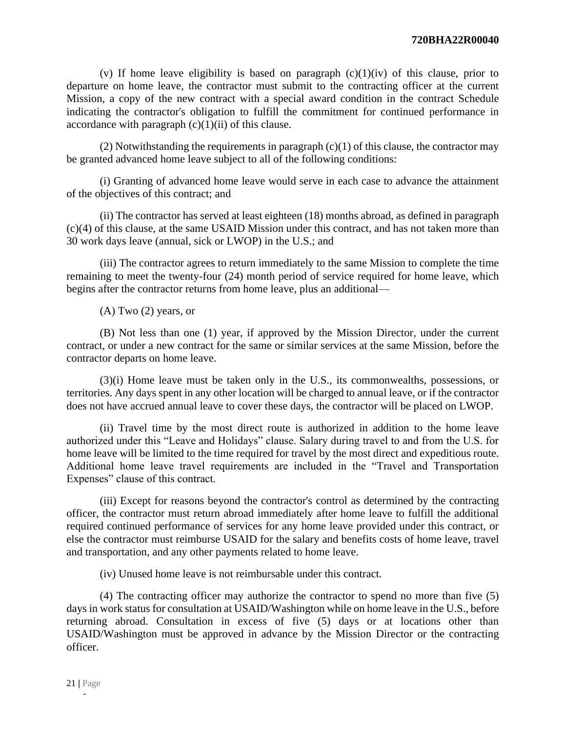(v) If home leave eligibility is based on paragraph  $(c)(1)(iv)$  of this clause, prior to departure on home leave, the contractor must submit to the contracting officer at the current Mission, a copy of the new contract with a special award condition in the contract Schedule indicating the contractor's obligation to fulfill the commitment for continued performance in accordance with paragraph  $(c)(1)(ii)$  of this clause.

(2) Notwithstanding the requirements in paragraph  $(c)(1)$  of this clause, the contractor may be granted advanced home leave subject to all of the following conditions:

(i) Granting of advanced home leave would serve in each case to advance the attainment of the objectives of this contract; and

(ii) The contractor has served at least eighteen (18) months abroad, as defined in paragraph (c)(4) of this clause, at the same USAID Mission under this contract, and has not taken more than 30 work days leave (annual, sick or LWOP) in the U.S.; and

(iii) The contractor agrees to return immediately to the same Mission to complete the time remaining to meet the twenty-four (24) month period of service required for home leave, which begins after the contractor returns from home leave, plus an additional—

(A) Two (2) years, or

(B) Not less than one (1) year, if approved by the Mission Director, under the current contract, or under a new contract for the same or similar services at the same Mission, before the contractor departs on home leave.

(3)(i) Home leave must be taken only in the U.S., its commonwealths, possessions, or territories. Any days spent in any other location will be charged to annual leave, or if the contractor does not have accrued annual leave to cover these days, the contractor will be placed on LWOP.

(ii) Travel time by the most direct route is authorized in addition to the home leave authorized under this "Leave and Holidays" clause. Salary during travel to and from the U.S. for home leave will be limited to the time required for travel by the most direct and expeditious route. Additional home leave travel requirements are included in the "Travel and Transportation Expenses" clause of this contract.

(iii) Except for reasons beyond the contractor's control as determined by the contracting officer, the contractor must return abroad immediately after home leave to fulfill the additional required continued performance of services for any home leave provided under this contract, or else the contractor must reimburse USAID for the salary and benefits costs of home leave, travel and transportation, and any other payments related to home leave.

(iv) Unused home leave is not reimbursable under this contract.

(4) The contracting officer may authorize the contractor to spend no more than five (5) days in work status for consultation at USAID/Washington while on home leave in the U.S., before returning abroad. Consultation in excess of five (5) days or at locations other than USAID/Washington must be approved in advance by the Mission Director or the contracting officer.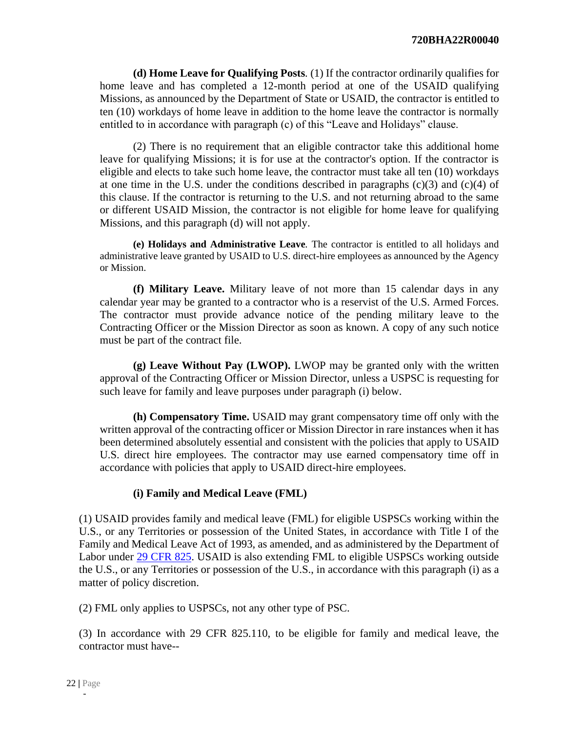**(d) Home Leave for Qualifying Posts***.* (1) If the contractor ordinarily qualifies for home leave and has completed a 12-month period at one of the USAID qualifying Missions, as announced by the Department of State or USAID, the contractor is entitled to ten (10) workdays of home leave in addition to the home leave the contractor is normally entitled to in accordance with paragraph (c) of this "Leave and Holidays" clause.

(2) There is no requirement that an eligible contractor take this additional home leave for qualifying Missions; it is for use at the contractor's option. If the contractor is eligible and elects to take such home leave, the contractor must take all ten (10) workdays at one time in the U.S. under the conditions described in paragraphs  $(c)(3)$  and  $(c)(4)$  of this clause. If the contractor is returning to the U.S. and not returning abroad to the same or different USAID Mission, the contractor is not eligible for home leave for qualifying Missions, and this paragraph (d) will not apply.

**(e) Holidays and Administrative Leave***.* The contractor is entitled to all holidays and administrative leave granted by USAID to U.S. direct-hire employees as announced by the Agency or Mission.

**(f) Military Leave.** Military leave of not more than 15 calendar days in any calendar year may be granted to a contractor who is a reservist of the U.S. Armed Forces. The contractor must provide advance notice of the pending military leave to the Contracting Officer or the Mission Director as soon as known. A copy of any such notice must be part of the contract file.

**(g) Leave Without Pay (LWOP).** LWOP may be granted only with the written approval of the Contracting Officer or Mission Director, unless a USPSC is requesting for such leave for family and leave purposes under paragraph (i) below.

**(h) Compensatory Time.** USAID may grant compensatory time off only with the written approval of the contracting officer or Mission Director in rare instances when it has been determined absolutely essential and consistent with the policies that apply to USAID U.S. direct hire employees. The contractor may use earned compensatory time off in accordance with policies that apply to USAID direct-hire employees.

# **(i) Family and Medical Leave (FML)**

(1) USAID provides family and medical leave (FML) for eligible USPSCs working within the U.S., or any Territories or possession of the United States, in accordance with Title I of the Family and Medical Leave Act of 1993, as amended, and as administered by the Department of Labor under [29 CFR 825.](https://www.ecfr.gov/cgi-bin/text-idx?SID=db0243f608afdb03943b0635a819c860&mc=true&tpl=/ecfrbrowse/Title29/29cfr825_main_02.tpl) USAID is also extending FML to eligible USPSCs working outside the U.S., or any Territories or possession of the U.S., in accordance with this paragraph (i) as a matter of policy discretion.

(2) FML only applies to USPSCs, not any other type of PSC.

(3) In accordance with 29 CFR 825.110, to be eligible for family and medical leave, the contractor must have--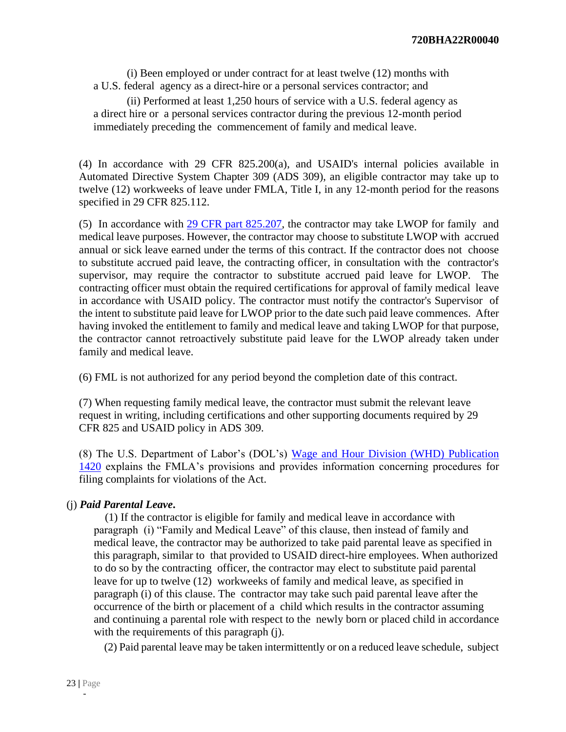(i) Been employed or under contract for at least twelve (12) months with a U.S. federal agency as a direct-hire or a personal services contractor; and

(ii) Performed at least 1,250 hours of service with a U.S. federal agency as a direct hire or a personal services contractor during the previous 12-month period immediately preceding the commencement of family and medical leave.

(4) In accordance with 29 CFR 825.200(a), and USAID's internal policies available in Automated Directive System Chapter 309 (ADS 309), an eligible contractor may take up to twelve (12) workweeks of leave under FMLA, Title I, in any 12-month period for the reasons specified in 29 CFR 825.112.

(5) In accordance with 29 CFR part 825.207, the contractor may take LWOP for family and medical leave purposes. However, the contractor may choose to substitute LWOP with accrued annual or sick leave earned under the terms of this contract. If the contractor does not choose to substitute accrued paid leave, the contracting officer, in consultation with the contractor's supervisor, may require the contractor to substitute accrued paid leave for LWOP. The contracting officer must obtain the required certifications for approval of family medical leave in accordance with USAID policy. The contractor must notify the contractor's Supervisor of the intent to substitute paid leave for LWOP prior to the date such paid leave commences. After having invoked the entitlement to family and medical leave and taking LWOP for that purpose, the contractor cannot retroactively substitute paid leave for the LWOP already taken under family and medical leave.

(6) FML is not authorized for any period beyond the completion date of this contract.

(7) When requesting family medical leave, the contractor must submit the relevant leave request in writing, including certifications and other supporting documents required by 29 CFR 825 and USAID policy in ADS 309.

(8) The U.S. Department of Labor's (DOL's) [Wage and Hour Division \(WHD\) Publication](https://www.dol.gov/whd/regs/compliance/posters/fmlaen.pdf)  [1420](https://www.dol.gov/whd/regs/compliance/posters/fmlaen.pdf) explains the FMLA's provisions and provides information concerning procedures for filing complaints for violations of the Act.

#### (j) *Paid Parental Leave***.**

 (1) If the contractor is eligible for family and medical leave in accordance with paragraph (i) "Family and Medical Leave" of this clause, then instead of family and medical leave, the contractor may be authorized to take paid parental leave as specified in this paragraph, similar to that provided to USAID direct-hire employees. When authorized to do so by the contracting officer, the contractor may elect to substitute paid parental leave for up to twelve (12) workweeks of family and medical leave, as specified in paragraph (i) of this clause. The contractor may take such paid parental leave after the occurrence of the birth or placement of a child which results in the contractor assuming and continuing a parental role with respect to the newly born or placed child in accordance with the requirements of this paragraph (j).

(2) Paid parental leave may be taken intermittently or on a reduced leave schedule, subject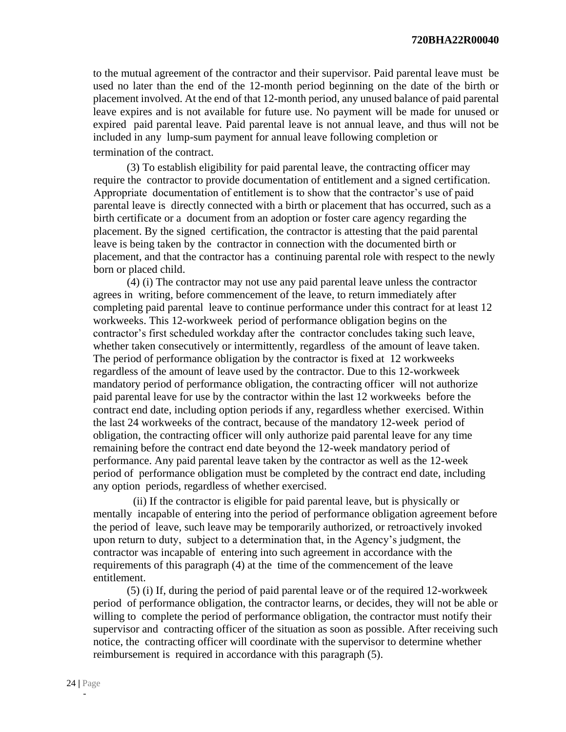to the mutual agreement of the contractor and their supervisor. Paid parental leave must be used no later than the end of the 12-month period beginning on the date of the birth or placement involved. At the end of that 12-month period, any unused balance of paid parental leave expires and is not available for future use. No payment will be made for unused or expired paid parental leave. Paid parental leave is not annual leave, and thus will not be included in any lump-sum payment for annual leave following completion or termination of the contract.

(3) To establish eligibility for paid parental leave, the contracting officer may require the contractor to provide documentation of entitlement and a signed certification. Appropriate documentation of entitlement is to show that the contractor's use of paid parental leave is directly connected with a birth or placement that has occurred, such as a birth certificate or a document from an adoption or foster care agency regarding the placement. By the signed certification, the contractor is attesting that the paid parental leave is being taken by the contractor in connection with the documented birth or placement, and that the contractor has a continuing parental role with respect to the newly born or placed child.

(4) (i) The contractor may not use any paid parental leave unless the contractor agrees in writing, before commencement of the leave, to return immediately after completing paid parental leave to continue performance under this contract for at least 12 workweeks. This 12-workweek period of performance obligation begins on the contractor's first scheduled workday after the contractor concludes taking such leave, whether taken consecutively or intermittently, regardless of the amount of leave taken. The period of performance obligation by the contractor is fixed at 12 workweeks regardless of the amount of leave used by the contractor. Due to this 12-workweek mandatory period of performance obligation, the contracting officer will not authorize paid parental leave for use by the contractor within the last 12 workweeks before the contract end date, including option periods if any, regardless whether exercised. Within the last 24 workweeks of the contract, because of the mandatory 12-week period of obligation, the contracting officer will only authorize paid parental leave for any time remaining before the contract end date beyond the 12-week mandatory period of performance. Any paid parental leave taken by the contractor as well as the 12-week period of performance obligation must be completed by the contract end date, including any option periods, regardless of whether exercised.

(ii) If the contractor is eligible for paid parental leave, but is physically or mentally incapable of entering into the period of performance obligation agreement before the period of leave, such leave may be temporarily authorized, or retroactively invoked upon return to duty, subject to a determination that, in the Agency's judgment, the contractor was incapable of entering into such agreement in accordance with the requirements of this paragraph (4) at the time of the commencement of the leave entitlement.

(5) (i) If, during the period of paid parental leave or of the required 12-workweek period of performance obligation, the contractor learns, or decides, they will not be able or willing to complete the period of performance obligation, the contractor must notify their supervisor and contracting officer of the situation as soon as possible. After receiving such notice, the contracting officer will coordinate with the supervisor to determine whether reimbursement is required in accordance with this paragraph (5).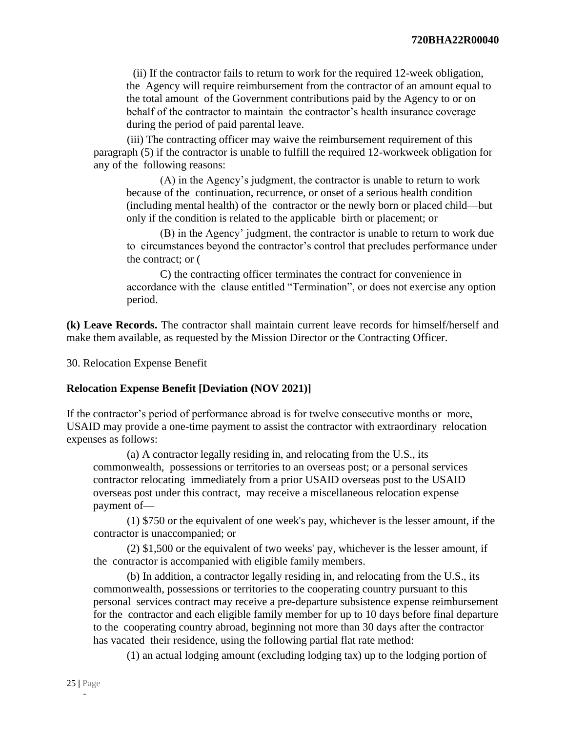(ii) If the contractor fails to return to work for the required 12-week obligation, the Agency will require reimbursement from the contractor of an amount equal to the total amount of the Government contributions paid by the Agency to or on behalf of the contractor to maintain the contractor's health insurance coverage during the period of paid parental leave.

(iii) The contracting officer may waive the reimbursement requirement of this paragraph (5) if the contractor is unable to fulfill the required 12-workweek obligation for any of the following reasons:

(A) in the Agency's judgment, the contractor is unable to return to work because of the continuation, recurrence, or onset of a serious health condition (including mental health) of the contractor or the newly born or placed child—but only if the condition is related to the applicable birth or placement; or

(B) in the Agency' judgment, the contractor is unable to return to work due to circumstances beyond the contractor's control that precludes performance under the contract; or (

C) the contracting officer terminates the contract for convenience in accordance with the clause entitled "Termination", or does not exercise any option period.

**(k) Leave Records.** The contractor shall maintain current leave records for himself/herself and make them available, as requested by the Mission Director or the Contracting Officer.

30. Relocation Expense Benefit

#### **Relocation Expense Benefit [Deviation (NOV 2021)]**

If the contractor's period of performance abroad is for twelve consecutive months or more, USAID may provide a one-time payment to assist the contractor with extraordinary relocation expenses as follows:

(a) A contractor legally residing in, and relocating from the U.S., its commonwealth, possessions or territories to an overseas post; or a personal services contractor relocating immediately from a prior USAID overseas post to the USAID overseas post under this contract, may receive a miscellaneous relocation expense payment of—

(1) \$750 or the equivalent of one week's pay, whichever is the lesser amount, if the contractor is unaccompanied; or

(2) \$1,500 or the equivalent of two weeks' pay, whichever is the lesser amount, if the contractor is accompanied with eligible family members.

(b) In addition, a contractor legally residing in, and relocating from the U.S., its commonwealth, possessions or territories to the cooperating country pursuant to this personal services contract may receive a pre-departure subsistence expense reimbursement for the contractor and each eligible family member for up to 10 days before final departure to the cooperating country abroad, beginning not more than 30 days after the contractor has vacated their residence, using the following partial flat rate method:

(1) an actual lodging amount (excluding lodging tax) up to the lodging portion of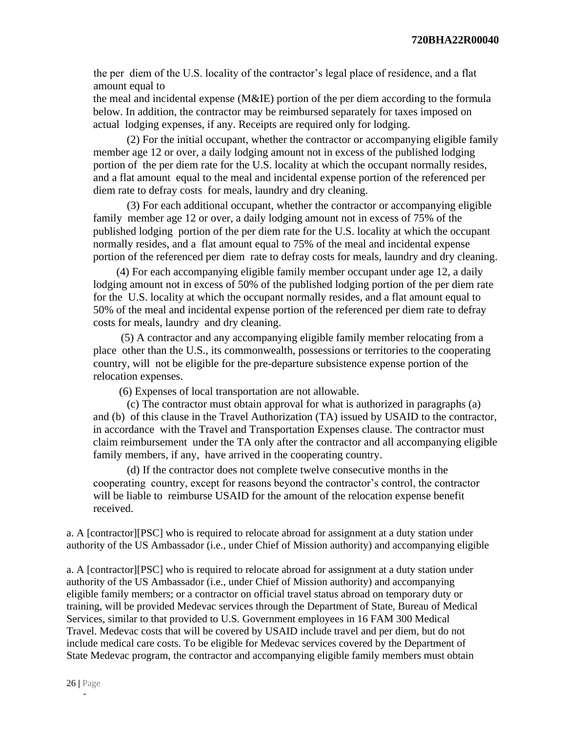the per diem of the U.S. locality of the contractor's legal place of residence, and a flat amount equal to

the meal and incidental expense (M&IE) portion of the per diem according to the formula below. In addition, the contractor may be reimbursed separately for taxes imposed on actual lodging expenses, if any. Receipts are required only for lodging.

(2) For the initial occupant, whether the contractor or accompanying eligible family member age 12 or over, a daily lodging amount not in excess of the published lodging portion of the per diem rate for the U.S. locality at which the occupant normally resides, and a flat amount equal to the meal and incidental expense portion of the referenced per diem rate to defray costs for meals, laundry and dry cleaning.

(3) For each additional occupant, whether the contractor or accompanying eligible family member age 12 or over, a daily lodging amount not in excess of 75% of the published lodging portion of the per diem rate for the U.S. locality at which the occupant normally resides, and a flat amount equal to 75% of the meal and incidental expense portion of the referenced per diem rate to defray costs for meals, laundry and dry cleaning.

 (4) For each accompanying eligible family member occupant under age 12, a daily lodging amount not in excess of 50% of the published lodging portion of the per diem rate for the U.S. locality at which the occupant normally resides, and a flat amount equal to 50% of the meal and incidental expense portion of the referenced per diem rate to defray costs for meals, laundry and dry cleaning.

 (5) A contractor and any accompanying eligible family member relocating from a place other than the U.S., its commonwealth, possessions or territories to the cooperating country, will not be eligible for the pre-departure subsistence expense portion of the relocation expenses.

(6) Expenses of local transportation are not allowable.

(c) The contractor must obtain approval for what is authorized in paragraphs (a) and (b) of this clause in the Travel Authorization (TA) issued by USAID to the contractor, in accordance with the Travel and Transportation Expenses clause. The contractor must claim reimbursement under the TA only after the contractor and all accompanying eligible family members, if any, have arrived in the cooperating country.

(d) If the contractor does not complete twelve consecutive months in the cooperating country, except for reasons beyond the contractor's control, the contractor will be liable to reimburse USAID for the amount of the relocation expense benefit received.

a. A [contractor][PSC] who is required to relocate abroad for assignment at a duty station under authority of the US Ambassador (i.e., under Chief of Mission authority) and accompanying eligible

a. A [contractor][PSC] who is required to relocate abroad for assignment at a duty station under authority of the US Ambassador (i.e., under Chief of Mission authority) and accompanying eligible family members; or a contractor on official travel status abroad on temporary duty or training, will be provided Medevac services through the Department of State, Bureau of Medical Services, similar to that provided to U.S. Government employees in 16 FAM 300 Medical Travel. Medevac costs that will be covered by USAID include travel and per diem, but do not include medical care costs. To be eligible for Medevac services covered by the Department of State Medevac program, the contractor and accompanying eligible family members must obtain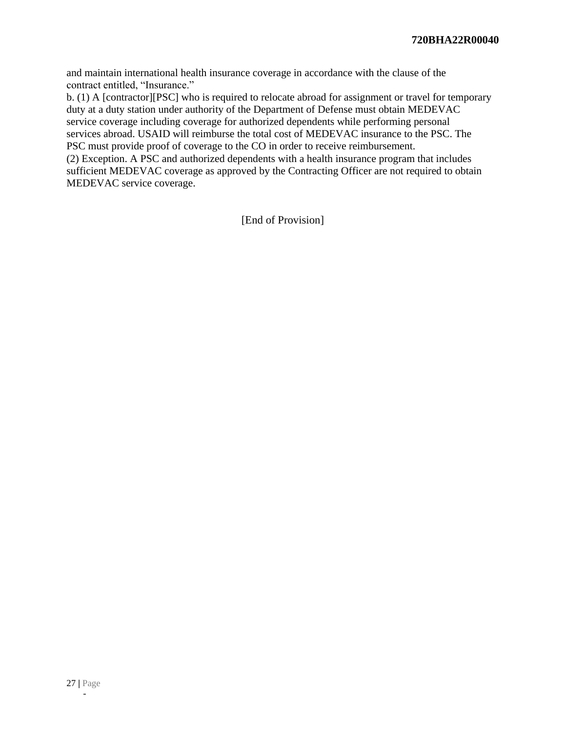and maintain international health insurance coverage in accordance with the clause of the contract entitled, "Insurance."

b. (1) A [contractor][PSC] who is required to relocate abroad for assignment or travel for temporary duty at a duty station under authority of the Department of Defense must obtain MEDEVAC service coverage including coverage for authorized dependents while performing personal services abroad. USAID will reimburse the total cost of MEDEVAC insurance to the PSC. The PSC must provide proof of coverage to the CO in order to receive reimbursement.

(2) Exception. A PSC and authorized dependents with a health insurance program that includes sufficient MEDEVAC coverage as approved by the Contracting Officer are not required to obtain MEDEVAC service coverage.

[End of Provision]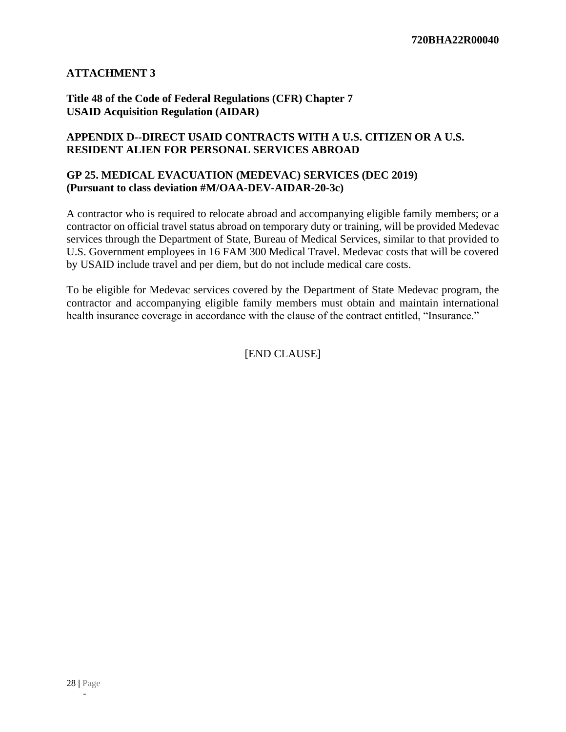# **ATTACHMENT 3**

### **Title 48 of the Code of Federal Regulations (CFR) Chapter 7 USAID Acquisition Regulation (AIDAR)**

### **APPENDIX D--DIRECT USAID CONTRACTS WITH A U.S. CITIZEN OR A U.S. RESIDENT ALIEN FOR PERSONAL SERVICES ABROAD**

### **GP 25. MEDICAL EVACUATION (MEDEVAC) SERVICES (DEC 2019) (Pursuant to class deviation #M/OAA-DEV-AIDAR-20-3c)**

A contractor who is required to relocate abroad and accompanying eligible family members; or a contractor on official travel status abroad on temporary duty or training, will be provided Medevac services through the Department of State, Bureau of Medical Services, similar to that provided to U.S. Government employees in 16 FAM 300 Medical Travel. Medevac costs that will be covered by USAID include travel and per diem, but do not include medical care costs.

To be eligible for Medevac services covered by the Department of State Medevac program, the contractor and accompanying eligible family members must obtain and maintain international health insurance coverage in accordance with the clause of the contract entitled, "Insurance."

# [END CLAUSE]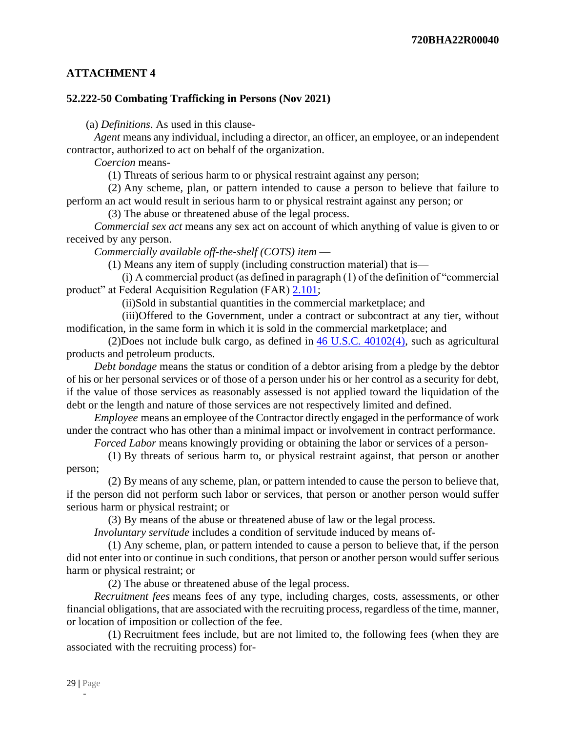### **ATTACHMENT 4**

#### **52.222-50 Combating Trafficking in Persons (Nov 2021)**

(a) *Definitions*. As used in this clause-

 *Agent* means any individual, including a director, an officer, an employee, or an independent contractor, authorized to act on behalf of the organization.

*Coercion* means-

(1) Threats of serious harm to or physical restraint against any person;

 (2) Any scheme, plan, or pattern intended to cause a person to believe that failure to perform an act would result in serious harm to or physical restraint against any person; or

(3) The abuse or threatened abuse of the legal process.

 *Commercial sex act* means any sex act on account of which anything of value is given to or received by any person.

*Commercially available off-the-shelf (COTS) item* —

(1) Means any item of supply (including construction material) that is—

 (i) A commercial product (as defined in paragraph (1) of the definition of "commercial product" at Federal Acquisition Regulation (FAR) [2.101;](https://www.acquisition.gov/far/2.101#FAR_2_101)

(ii)Sold in substantial quantities in the commercial marketplace; and

 (iii)Offered to the Government, under a contract or subcontract at any tier, without modification, in the same form in which it is sold in the commercial marketplace; and

 (2)Does not include bulk cargo, as defined in [46 U.S.C. 40102\(4\),](http://uscode.house.gov/browse.xhtml;jsessionid=114A3287C7B3359E597506A31FC855B3) such as agricultural products and petroleum products.

 *Debt bondage* means the status or condition of a debtor arising from a pledge by the debtor of his or her personal services or of those of a person under his or her control as a security for debt, if the value of those services as reasonably assessed is not applied toward the liquidation of the debt or the length and nature of those services are not respectively limited and defined.

 *Employee* means an employee of the Contractor directly engaged in the performance of work under the contract who has other than a minimal impact or involvement in contract performance.

*Forced Labor* means knowingly providing or obtaining the labor or services of a person-

 (1) By threats of serious harm to, or physical restraint against, that person or another person;

 (2) By means of any scheme, plan, or pattern intended to cause the person to believe that, if the person did not perform such labor or services, that person or another person would suffer serious harm or physical restraint; or

(3) By means of the abuse or threatened abuse of law or the legal process.

*Involuntary servitude* includes a condition of servitude induced by means of-

 (1) Any scheme, plan, or pattern intended to cause a person to believe that, if the person did not enter into or continue in such conditions, that person or another person would suffer serious harm or physical restraint; or

(2) The abuse or threatened abuse of the legal process.

 *Recruitment fees* means fees of any type, including charges, costs, assessments, or other financial obligations, that are associated with the recruiting process, regardless of the time, manner, or location of imposition or collection of the fee.

 (1) Recruitment fees include, but are not limited to, the following fees (when they are associated with the recruiting process) for-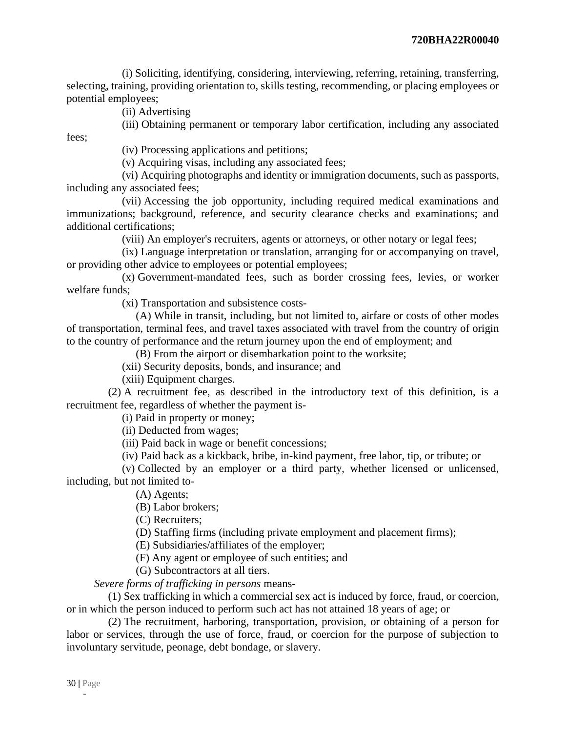(i) Soliciting, identifying, considering, interviewing, referring, retaining, transferring, selecting, training, providing orientation to, skills testing, recommending, or placing employees or potential employees;

(ii) Advertising

fees;

(iii) Obtaining permanent or temporary labor certification, including any associated

(iv) Processing applications and petitions;

(v) Acquiring visas, including any associated fees;

 (vi) Acquiring photographs and identity or immigration documents, such as passports, including any associated fees;

 (vii) Accessing the job opportunity, including required medical examinations and immunizations; background, reference, and security clearance checks and examinations; and additional certifications;

(viii) An employer's recruiters, agents or attorneys, or other notary or legal fees;

 (ix) Language interpretation or translation, arranging for or accompanying on travel, or providing other advice to employees or potential employees;

 (x) Government-mandated fees, such as border crossing fees, levies, or worker welfare funds;

(xi) Transportation and subsistence costs-

 (A) While in transit, including, but not limited to, airfare or costs of other modes of transportation, terminal fees, and travel taxes associated with travel from the country of origin to the country of performance and the return journey upon the end of employment; and

(B) From the airport or disembarkation point to the worksite;

(xii) Security deposits, bonds, and insurance; and

(xiii) Equipment charges.

 (2) A recruitment fee, as described in the introductory text of this definition, is a recruitment fee, regardless of whether the payment is-

(i) Paid in property or money;

(ii) Deducted from wages;

(iii) Paid back in wage or benefit concessions;

(iv) Paid back as a kickback, bribe, in-kind payment, free labor, tip, or tribute; or

 (v) Collected by an employer or a third party, whether licensed or unlicensed, including, but not limited to-

(A) Agents;

(B) Labor brokers;

(C) Recruiters;

(D) Staffing firms (including private employment and placement firms);

(E) Subsidiaries/affiliates of the employer;

(F) Any agent or employee of such entities; and

(G) Subcontractors at all tiers.

*Severe forms of trafficking in persons* means-

 (1) Sex trafficking in which a commercial sex act is induced by force, fraud, or coercion, or in which the person induced to perform such act has not attained 18 years of age; or

 (2) The recruitment, harboring, transportation, provision, or obtaining of a person for labor or services, through the use of force, fraud, or coercion for the purpose of subjection to involuntary servitude, peonage, debt bondage, or slavery.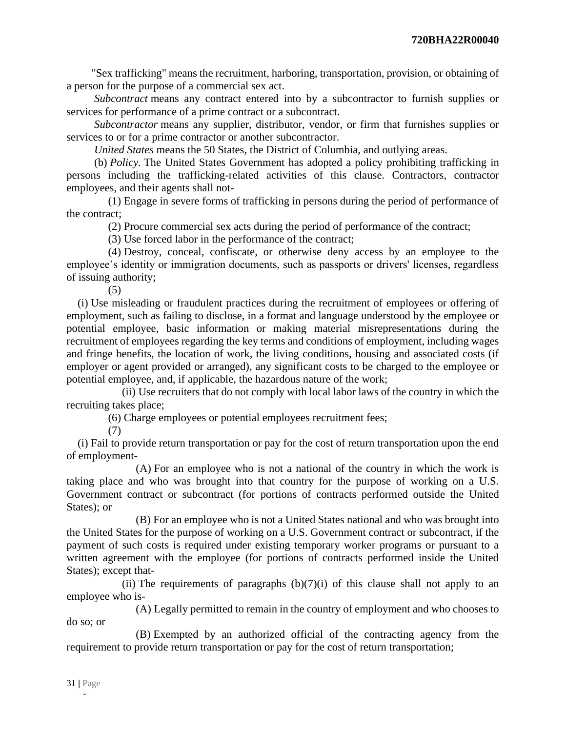"Sex trafficking" means the recruitment, harboring, transportation, provision, or obtaining of a person for the purpose of a commercial sex act.

 *Subcontract* means any contract entered into by a subcontractor to furnish supplies or services for performance of a prime contract or a subcontract.

 *Subcontractor* means any supplier, distributor, vendor, or firm that furnishes supplies or services to or for a prime contractor or another subcontractor.

*United States* means the 50 States, the District of Columbia, and outlying areas.

 (b) *Policy.* The United States Government has adopted a policy prohibiting trafficking in persons including the trafficking-related activities of this clause. Contractors, contractor employees, and their agents shall not-

 (1) Engage in severe forms of trafficking in persons during the period of performance of the contract;

(2) Procure commercial sex acts during the period of performance of the contract;

(3) Use forced labor in the performance of the contract;

 (4) Destroy, conceal, confiscate, or otherwise deny access by an employee to the employee's identity or immigration documents, such as passports or drivers' licenses, regardless of issuing authority;

(5)

(i) Use misleading or fraudulent practices during the recruitment of employees or offering of employment, such as failing to disclose, in a format and language understood by the employee or potential employee, basic information or making material misrepresentations during the recruitment of employees regarding the key terms and conditions of employment, including wages and fringe benefits, the location of work, the living conditions, housing and associated costs (if employer or agent provided or arranged), any significant costs to be charged to the employee or potential employee, and, if applicable, the hazardous nature of the work;

 (ii) Use recruiters that do not comply with local labor laws of the country in which the recruiting takes place;

(6) Charge employees or potential employees recruitment fees;

(7)

(i) Fail to provide return transportation or pay for the cost of return transportation upon the end of employment-

 (A) For an employee who is not a national of the country in which the work is taking place and who was brought into that country for the purpose of working on a U.S. Government contract or subcontract (for portions of contracts performed outside the United States); or

 (B) For an employee who is not a United States national and who was brought into the United States for the purpose of working on a U.S. Government contract or subcontract, if the payment of such costs is required under existing temporary worker programs or pursuant to a written agreement with the employee (for portions of contracts performed inside the United States); except that-

(ii) The requirements of paragraphs  $(b)(7)(i)$  of this clause shall not apply to an employee who is-

 (A) Legally permitted to remain in the country of employment and who chooses to do so; or

 (B) Exempted by an authorized official of the contracting agency from the requirement to provide return transportation or pay for the cost of return transportation;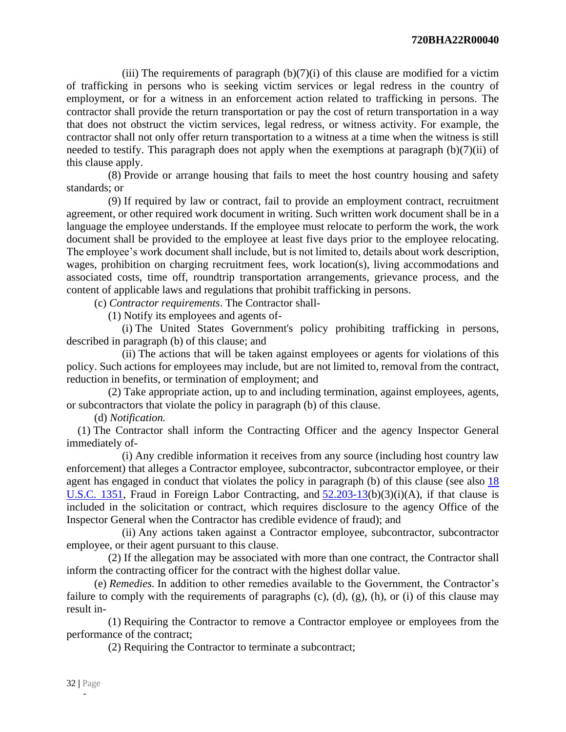(iii) The requirements of paragraph  $(b)(7)(i)$  of this clause are modified for a victim of trafficking in persons who is seeking victim services or legal redress in the country of employment, or for a witness in an enforcement action related to trafficking in persons. The contractor shall provide the return transportation or pay the cost of return transportation in a way that does not obstruct the victim services, legal redress, or witness activity. For example, the contractor shall not only offer return transportation to a witness at a time when the witness is still needed to testify. This paragraph does not apply when the exemptions at paragraph (b)(7)(ii) of this clause apply.

 (8) Provide or arrange housing that fails to meet the host country housing and safety standards; or

 (9) If required by law or contract, fail to provide an employment contract, recruitment agreement, or other required work document in writing. Such written work document shall be in a language the employee understands. If the employee must relocate to perform the work, the work document shall be provided to the employee at least five days prior to the employee relocating. The employee's work document shall include, but is not limited to, details about work description, wages, prohibition on charging recruitment fees, work location(s), living accommodations and associated costs, time off, roundtrip transportation arrangements, grievance process, and the content of applicable laws and regulations that prohibit trafficking in persons.

(c) *Contractor requirements*. The Contractor shall-

(1) Notify its employees and agents of-

 (i) The United States Government's policy prohibiting trafficking in persons, described in paragraph (b) of this clause; and

 (ii) The actions that will be taken against employees or agents for violations of this policy. Such actions for employees may include, but are not limited to, removal from the contract, reduction in benefits, or termination of employment; and

 (2) Take appropriate action, up to and including termination, against employees, agents, or subcontractors that violate the policy in paragraph (b) of this clause.

(d) *Notification.*

(1) The Contractor shall inform the Contracting Officer and the agency Inspector General immediately of-

 (i) Any credible information it receives from any source (including host country law enforcement) that alleges a Contractor employee, subcontractor, subcontractor employee, or their agent has engaged in conduct that violates the policy in paragraph (b) of this clause (see also [18](http://uscode.house.gov/browse.xhtml;jsessionid=114A3287C7B3359E597506A31FC855B3)  [U.S.C. 1351,](http://uscode.house.gov/browse.xhtml;jsessionid=114A3287C7B3359E597506A31FC855B3) Fraud in Foreign Labor Contracting, and  $52.203-13(b)(3)(i)(A)$  $52.203-13(b)(3)(i)(A)$ , if that clause is included in the solicitation or contract, which requires disclosure to the agency Office of the Inspector General when the Contractor has credible evidence of fraud); and

 (ii) Any actions taken against a Contractor employee, subcontractor, subcontractor employee, or their agent pursuant to this clause.

 (2) If the allegation may be associated with more than one contract, the Contractor shall inform the contracting officer for the contract with the highest dollar value.

 (e) *Remedies.* In addition to other remedies available to the Government, the Contractor's failure to comply with the requirements of paragraphs  $(c)$ ,  $(d)$ ,  $(g)$ ,  $(h)$ , or  $(i)$  of this clause may result in-

 (1) Requiring the Contractor to remove a Contractor employee or employees from the performance of the contract;

(2) Requiring the Contractor to terminate a subcontract;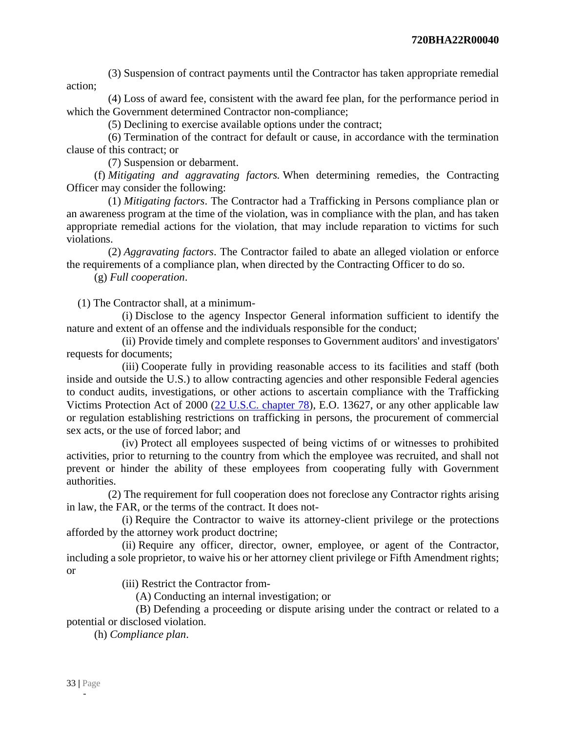(3) Suspension of contract payments until the Contractor has taken appropriate remedial action;

 (4) Loss of award fee, consistent with the award fee plan, for the performance period in which the Government determined Contractor non-compliance;

(5) Declining to exercise available options under the contract;

 (6) Termination of the contract for default or cause, in accordance with the termination clause of this contract; or

(7) Suspension or debarment.

 (f) *Mitigating and aggravating factors.* When determining remedies, the Contracting Officer may consider the following:

 (1) *Mitigating factors*. The Contractor had a Trafficking in Persons compliance plan or an awareness program at the time of the violation, was in compliance with the plan, and has taken appropriate remedial actions for the violation, that may include reparation to victims for such violations.

 (2) *Aggravating factors*. The Contractor failed to abate an alleged violation or enforce the requirements of a compliance plan, when directed by the Contracting Officer to do so.

(g) *Full cooperation*.

(1) The Contractor shall, at a minimum-

 (i) Disclose to the agency Inspector General information sufficient to identify the nature and extent of an offense and the individuals responsible for the conduct;

 (ii) Provide timely and complete responses to Government auditors' and investigators' requests for documents;

 (iii) Cooperate fully in providing reasonable access to its facilities and staff (both inside and outside the U.S.) to allow contracting agencies and other responsible Federal agencies to conduct audits, investigations, or other actions to ascertain compliance with the Trafficking Victims Protection Act of 2000 [\(22 U.S.C. chapter 78\)](http://uscode.house.gov/browse.xhtml;jsessionid=114A3287C7B3359E597506A31FC855B3), E.O. 13627, or any other applicable law or regulation establishing restrictions on trafficking in persons, the procurement of commercial sex acts, or the use of forced labor; and

 (iv) Protect all employees suspected of being victims of or witnesses to prohibited activities, prior to returning to the country from which the employee was recruited, and shall not prevent or hinder the ability of these employees from cooperating fully with Government authorities.

 (2) The requirement for full cooperation does not foreclose any Contractor rights arising in law, the FAR, or the terms of the contract. It does not-

 (i) Require the Contractor to waive its attorney-client privilege or the protections afforded by the attorney work product doctrine;

 (ii) Require any officer, director, owner, employee, or agent of the Contractor, including a sole proprietor, to waive his or her attorney client privilege or Fifth Amendment rights; or

(iii) Restrict the Contractor from-

(A) Conducting an internal investigation; or

 (B) Defending a proceeding or dispute arising under the contract or related to a potential or disclosed violation.

(h) *Compliance plan*.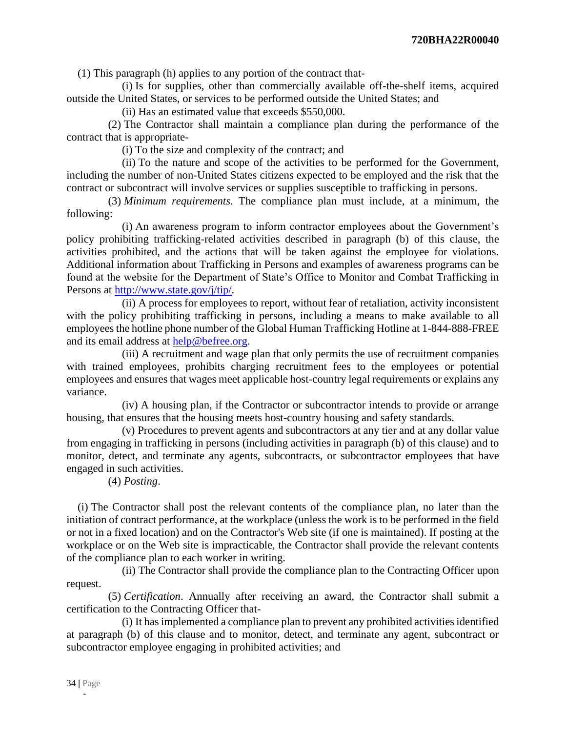(1) This paragraph (h) applies to any portion of the contract that-

 (i) Is for supplies, other than commercially available off-the-shelf items, acquired outside the United States, or services to be performed outside the United States; and

(ii) Has an estimated value that exceeds \$550,000.

 (2) The Contractor shall maintain a compliance plan during the performance of the contract that is appropriate-

(i) To the size and complexity of the contract; and

 (ii) To the nature and scope of the activities to be performed for the Government, including the number of non-United States citizens expected to be employed and the risk that the contract or subcontract will involve services or supplies susceptible to trafficking in persons.

 (3) *Minimum requirements*. The compliance plan must include, at a minimum, the following:

 (i) An awareness program to inform contractor employees about the Government's policy prohibiting trafficking-related activities described in paragraph (b) of this clause, the activities prohibited, and the actions that will be taken against the employee for violations. Additional information about Trafficking in Persons and examples of awareness programs can be found at the website for the Department of State's Office to Monitor and Combat Trafficking in Persons at [http://www.state.gov/j/tip/.](http://www.state.gov/j/tip/)

 (ii) A process for employees to report, without fear of retaliation, activity inconsistent with the policy prohibiting trafficking in persons, including a means to make available to all employees the hotline phone number of the Global Human Trafficking Hotline at 1-844-888-FREE and its email address at [help@befree.org.](mailto:help@befree.org)

 (iii) A recruitment and wage plan that only permits the use of recruitment companies with trained employees, prohibits charging recruitment fees to the employees or potential employees and ensures that wages meet applicable host-country legal requirements or explains any variance.

 (iv) A housing plan, if the Contractor or subcontractor intends to provide or arrange housing, that ensures that the housing meets host-country housing and safety standards.

 (v) Procedures to prevent agents and subcontractors at any tier and at any dollar value from engaging in trafficking in persons (including activities in paragraph (b) of this clause) and to monitor, detect, and terminate any agents, subcontracts, or subcontractor employees that have engaged in such activities.

(4) *Posting*.

(i) The Contractor shall post the relevant contents of the compliance plan, no later than the initiation of contract performance, at the workplace (unless the work is to be performed in the field or not in a fixed location) and on the Contractor's Web site (if one is maintained). If posting at the workplace or on the Web site is impracticable, the Contractor shall provide the relevant contents of the compliance plan to each worker in writing.

 (ii) The Contractor shall provide the compliance plan to the Contracting Officer upon request.

 (5) *Certification*. Annually after receiving an award, the Contractor shall submit a certification to the Contracting Officer that-

 (i) It has implemented a compliance plan to prevent any prohibited activities identified at paragraph (b) of this clause and to monitor, detect, and terminate any agent, subcontract or subcontractor employee engaging in prohibited activities; and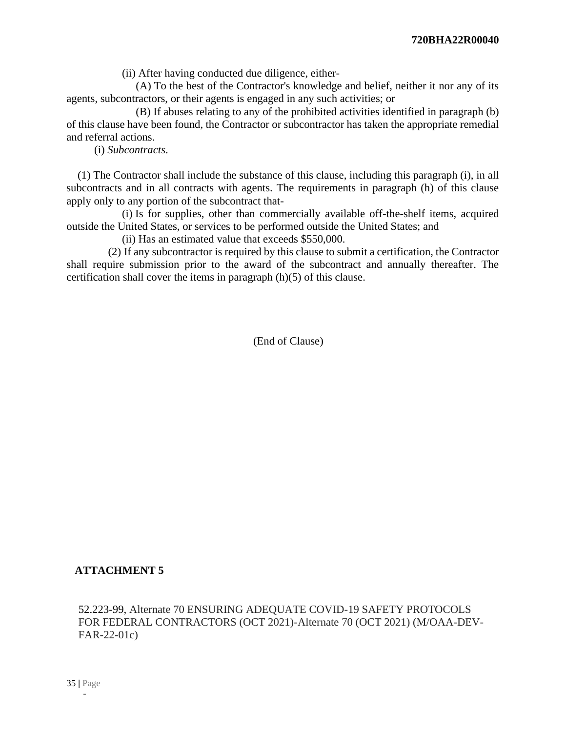(ii) After having conducted due diligence, either-

 (A) To the best of the Contractor's knowledge and belief, neither it nor any of its agents, subcontractors, or their agents is engaged in any such activities; or

 (B) If abuses relating to any of the prohibited activities identified in paragraph (b) of this clause have been found, the Contractor or subcontractor has taken the appropriate remedial and referral actions.

(i) *Subcontracts*.

(1) The Contractor shall include the substance of this clause, including this paragraph (i), in all subcontracts and in all contracts with agents. The requirements in paragraph (h) of this clause apply only to any portion of the subcontract that-

 (i) Is for supplies, other than commercially available off-the-shelf items, acquired outside the United States, or services to be performed outside the United States; and

(ii) Has an estimated value that exceeds \$550,000.

 (2) If any subcontractor is required by this clause to submit a certification, the Contractor shall require submission prior to the award of the subcontract and annually thereafter. The certification shall cover the items in paragraph (h)(5) of this clause.

(End of Clause)

#### **ATTACHMENT 5**

52.223-99, Alternate 70 ENSURING ADEQUATE COVID-19 SAFETY PROTOCOLS FOR FEDERAL CONTRACTORS (OCT 2021)-Alternate 70 (OCT 2021) (M/OAA-DEV-FAR-22-01c)